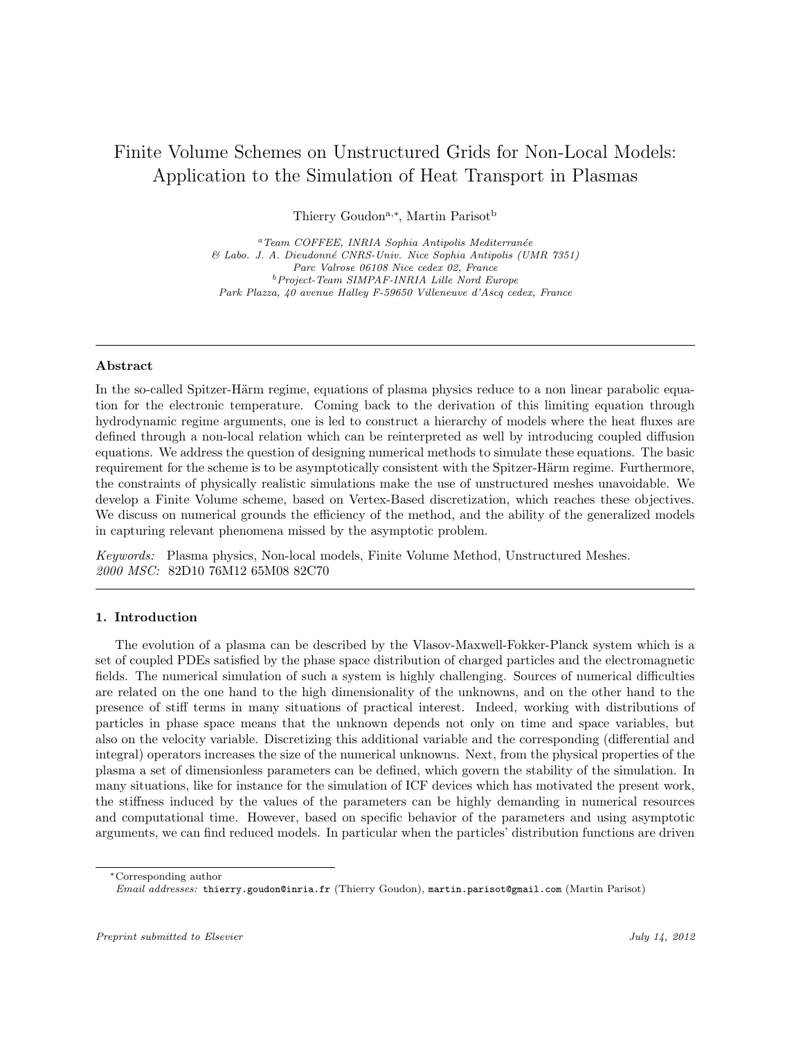# Finite Volume Schemes on Unstructured Grids for Non-Local Models: Application to the Simulation of Heat Transport in Plasmas

Thierry Goudon<sup>a,\*</sup>, Martin Parisot<sup>b</sup>

 $a$ <sup>a</sup>Team COFFEE, INRIA Sophia Antipolis Mediterranée & Labo. J. A. Dieudonn´e CNRS-Univ. Nice Sophia Antipolis (UMR 7351) Parc Valrose 06108 Nice cedex 02, France <sup>b</sup>Project-Team SIMPAF-INRIA Lille Nord Europe Park Plazza, 40 avenue Halley F-59650 Villeneuve d'Ascq cedex, France

### Abstract

In the so-called Spitzer-Härm regime, equations of plasma physics reduce to a non linear parabolic equation for the electronic temperature. Coming back to the derivation of this limiting equation through hydrodynamic regime arguments, one is led to construct a hierarchy of models where the heat fluxes are defined through a non-local relation which can be reinterpreted as well by introducing coupled diffusion equations. We address the question of designing numerical methods to simulate these equations. The basic requirement for the scheme is to be asymptotically consistent with the Spitzer-Härm regime. Furthermore, the constraints of physically realistic simulations make the use of unstructured meshes unavoidable. We develop a Finite Volume scheme, based on Vertex-Based discretization, which reaches these objectives. We discuss on numerical grounds the efficiency of the method, and the ability of the generalized models in capturing relevant phenomena missed by the asymptotic problem.

Keywords: Plasma physics, Non-local models, Finite Volume Method, Unstructured Meshes. 2000 MSC: 82D10 76M12 65M08 82C70

## 1. Introduction

The evolution of a plasma can be described by the Vlasov-Maxwell-Fokker-Planck system which is a set of coupled PDEs satisfied by the phase space distribution of charged particles and the electromagnetic fields. The numerical simulation of such a system is highly challenging. Sources of numerical difficulties are related on the one hand to the high dimensionality of the unknowns, and on the other hand to the presence of stiff terms in many situations of practical interest. Indeed, working with distributions of particles in phase space means that the unknown depends not only on time and space variables, but also on the velocity variable. Discretizing this additional variable and the corresponding (differential and integral) operators increases the size of the numerical unknowns. Next, from the physical properties of the plasma a set of dimensionless parameters can be defined, which govern the stability of the simulation. In many situations, like for instance for the simulation of ICF devices which has motivated the present work, the stiffness induced by the values of the parameters can be highly demanding in numerical resources and computational time. However, based on specific behavior of the parameters and using asymptotic arguments, we can find reduced models. In particular when the particles' distribution functions are driven

<sup>∗</sup>Corresponding author

Email addresses: thierry.goudon@inria.fr (Thierry Goudon), martin.parisot@gmail.com (Martin Parisot)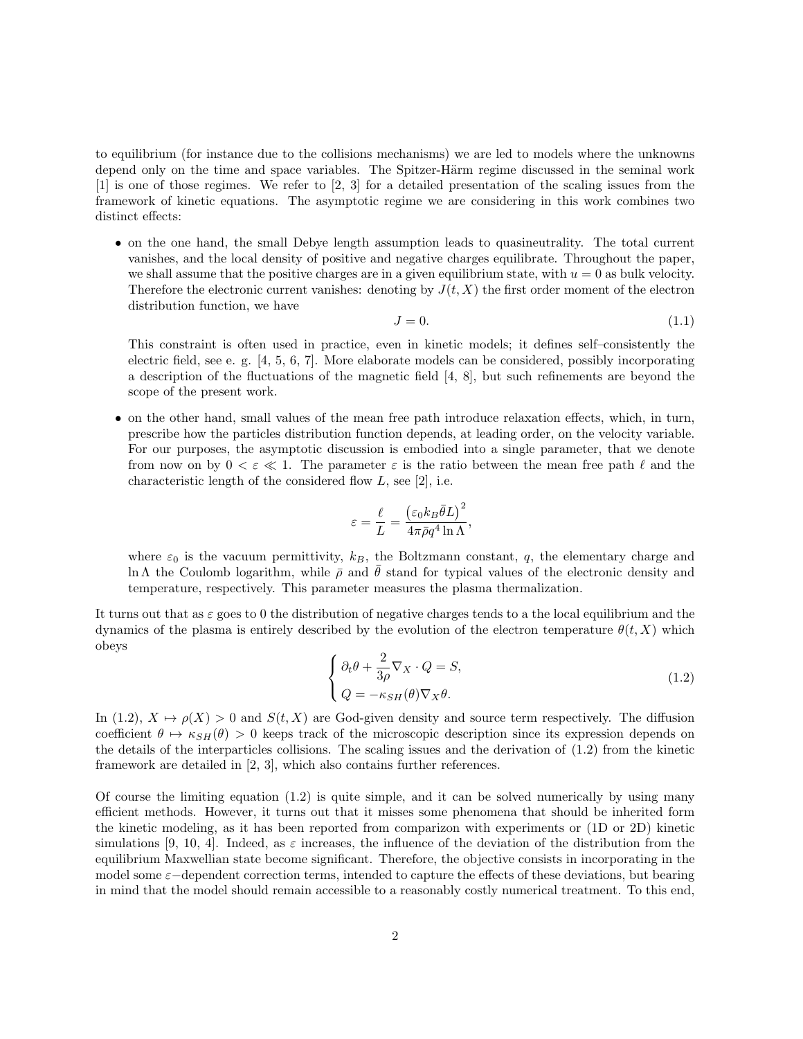to equilibrium (for instance due to the collisions mechanisms) we are led to models where the unknowns depend only on the time and space variables. The Spitzer-Härm regime discussed in the seminal work [1] is one of those regimes. We refer to [2, 3] for a detailed presentation of the scaling issues from the framework of kinetic equations. The asymptotic regime we are considering in this work combines two distinct effects:

• on the one hand, the small Debye length assumption leads to quasineutrality. The total current vanishes, and the local density of positive and negative charges equilibrate. Throughout the paper, we shall assume that the positive charges are in a given equilibrium state, with  $u = 0$  as bulk velocity. Therefore the electronic current vanishes: denoting by  $J(t, X)$  the first order moment of the electron distribution function, we have

$$
J = 0.\t(1.1)
$$

This constraint is often used in practice, even in kinetic models; it defines self–consistently the electric field, see e. g. [4, 5, 6, 7]. More elaborate models can be considered, possibly incorporating a description of the fluctuations of the magnetic field [4, 8], but such refinements are beyond the scope of the present work.

• on the other hand, small values of the mean free path introduce relaxation effects, which, in turn, prescribe how the particles distribution function depends, at leading order, on the velocity variable. For our purposes, the asymptotic discussion is embodied into a single parameter, that we denote from now on by  $0 < \varepsilon \ll 1$ . The parameter  $\varepsilon$  is the ratio between the mean free path  $\ell$  and the characteristic length of the considered flow  $L$ , see [2], i.e.

$$
\varepsilon = \frac{\ell}{L} = \frac{\left(\varepsilon_0 k_B \bar{\theta} L\right)^2}{4\pi \bar{\rho}q^4 \ln \Lambda},
$$

where  $\varepsilon_0$  is the vacuum permittivity,  $k_B$ , the Boltzmann constant, q, the elementary charge and ln Λ the Coulomb logarithm, while  $\bar{\rho}$  and  $\bar{\theta}$  stand for typical values of the electronic density and temperature, respectively. This parameter measures the plasma thermalization.

It turns out that as  $\varepsilon$  goes to 0 the distribution of negative charges tends to a the local equilibrium and the dynamics of the plasma is entirely described by the evolution of the electron temperature  $\theta(t, X)$  which obeys

$$
\begin{cases} \partial_t \theta + \frac{2}{3\rho} \nabla_X \cdot Q = S, \\ Q = -\kappa_{SH}(\theta) \nabla_X \theta. \end{cases}
$$
\n(1.2)

In (1.2),  $X \mapsto \rho(X) > 0$  and  $S(t, X)$  are God-given density and source term respectively. The diffusion coefficient  $\theta \mapsto \kappa_{SH}(\theta) > 0$  keeps track of the microscopic description since its expression depends on the details of the interparticles collisions. The scaling issues and the derivation of (1.2) from the kinetic framework are detailed in [2, 3], which also contains further references.

Of course the limiting equation  $(1.2)$  is quite simple, and it can be solved numerically by using many efficient methods. However, it turns out that it misses some phenomena that should be inherited form the kinetic modeling, as it has been reported from comparizon with experiments or (1D or 2D) kinetic simulations [9, 10, 4]. Indeed, as  $\varepsilon$  increases, the influence of the deviation of the distribution from the equilibrium Maxwellian state become significant. Therefore, the objective consists in incorporating in the model some  $\varepsilon$ −dependent correction terms, intended to capture the effects of these deviations, but bearing in mind that the model should remain accessible to a reasonably costly numerical treatment. To this end,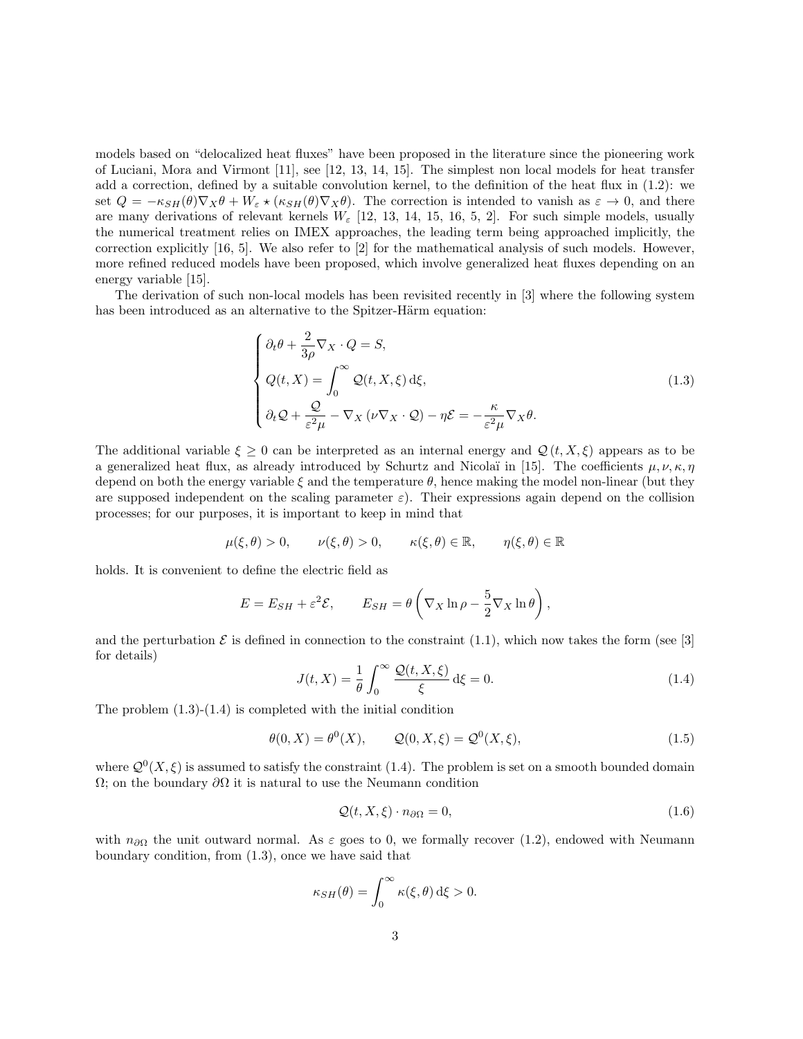models based on "delocalized heat fluxes" have been proposed in the literature since the pioneering work of Luciani, Mora and Virmont [11], see [12, 13, 14, 15]. The simplest non local models for heat transfer add a correction, defined by a suitable convolution kernel, to the definition of the heat flux in (1.2): we set  $Q = -\kappa_{SH}(\theta) \nabla_X \theta + W_{\varepsilon} \star (\kappa_{SH}(\theta) \nabla_X \theta)$ . The correction is intended to vanish as  $\varepsilon \to 0$ , and there are many derivations of relevant kernels  $W_{\varepsilon}$  [12, 13, 14, 15, 16, 5, 2]. For such simple models, usually the numerical treatment relies on IMEX approaches, the leading term being approached implicitly, the correction explicitly [16, 5]. We also refer to [2] for the mathematical analysis of such models. However, more refined reduced models have been proposed, which involve generalized heat fluxes depending on an energy variable [15].

The derivation of such non-local models has been revisited recently in [3] where the following system has been introduced as an alternative to the Spitzer-Härm equation:

$$
\begin{cases}\n\partial_t \theta + \frac{2}{3\rho} \nabla_X \cdot Q = S, \\
Q(t, X) = \int_0^\infty Q(t, X, \xi) d\xi, \\
\partial_t Q + \frac{Q}{\varepsilon^2 \mu} - \nabla_X (\nu \nabla_X \cdot Q) - \eta \mathcal{E} = -\frac{\kappa}{\varepsilon^2 \mu} \nabla_X \theta.\n\end{cases}
$$
\n(1.3)

The additional variable  $\xi \geq 0$  can be interpreted as an internal energy and  $\mathcal{Q}(t, X, \xi)$  appears as to be a generalized heat flux, as already introduced by Schurtz and Nicolaï in [15]. The coefficients  $\mu, \nu, \kappa, \eta$ depend on both the energy variable  $\xi$  and the temperature  $\theta$ , hence making the model non-linear (but they are supposed independent on the scaling parameter  $\varepsilon$ ). Their expressions again depend on the collision processes; for our purposes, it is important to keep in mind that

$$
\mu(\xi,\theta) > 0
$$
,  $\nu(\xi,\theta) > 0$ ,  $\kappa(\xi,\theta) \in \mathbb{R}$ ,  $\eta(\xi,\theta) \in \mathbb{R}$ 

holds. It is convenient to define the electric field as

$$
E = E_{SH} + \varepsilon^2 \mathcal{E}, \qquad E_{SH} = \theta \left( \nabla_X \ln \rho - \frac{5}{2} \nabla_X \ln \theta \right),
$$

and the perturbation  $\mathcal E$  is defined in connection to the constraint (1.1), which now takes the form (see [3] for details)

$$
J(t, X) = \frac{1}{\theta} \int_0^\infty \frac{\mathcal{Q}(t, X, \xi)}{\xi} d\xi = 0.
$$
 (1.4)

The problem  $(1.3)-(1.4)$  is completed with the initial condition

$$
\theta(0,X) = \theta^0(X), \qquad \mathcal{Q}(0,X,\xi) = \mathcal{Q}^0(X,\xi), \tag{1.5}
$$

where  $\mathcal{Q}^0(X,\xi)$  is assumed to satisfy the constraint (1.4). The problem is set on a smooth bounded domain  $Ω$ ; on the boundary  $\partial Ω$  it is natural to use the Neumann condition

$$
\mathcal{Q}(t, X, \xi) \cdot n_{\partial \Omega} = 0,\tag{1.6}
$$

with  $n_{\partial\Omega}$  the unit outward normal. As  $\varepsilon$  goes to 0, we formally recover (1.2), endowed with Neumann boundary condition, from (1.3), once we have said that

$$
\kappa_{SH}(\theta) = \int_0^\infty \kappa(\xi, \theta) \, d\xi > 0.
$$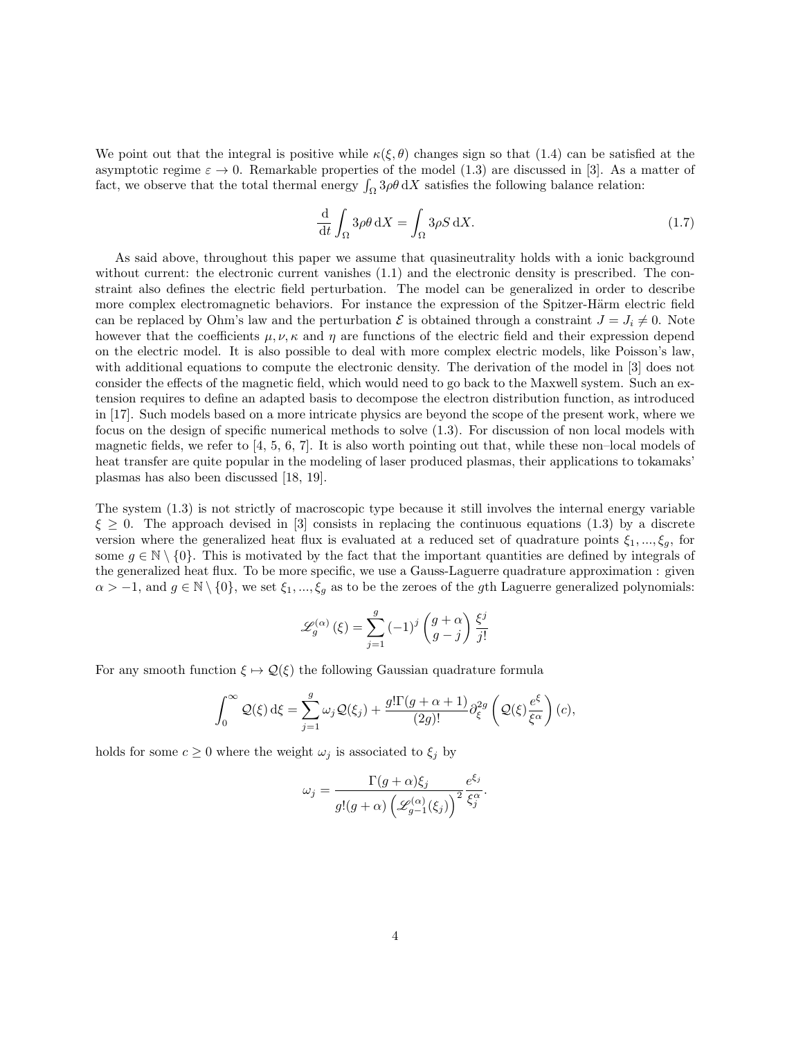We point out that the integral is positive while  $\kappa(\xi, \theta)$  changes sign so that (1.4) can be satisfied at the asymptotic regime  $\varepsilon \to 0$ . Remarkable properties of the model (1.3) are discussed in [3]. As a matter of fact, we observe that the total thermal energy  $\int_{\Omega} 3\rho \theta dX$  satisfies the following balance relation:

$$
\frac{\mathrm{d}}{\mathrm{d}t} \int_{\Omega} 3\rho \theta \,\mathrm{d}X = \int_{\Omega} 3\rho S \,\mathrm{d}X. \tag{1.7}
$$

As said above, throughout this paper we assume that quasineutrality holds with a ionic background without current: the electronic current vanishes  $(1.1)$  and the electronic density is prescribed. The constraint also defines the electric field perturbation. The model can be generalized in order to describe more complex electromagnetic behaviors. For instance the expression of the Spitzer-Härm electric field can be replaced by Ohm's law and the perturbation  $\mathcal E$  is obtained through a constraint  $J = J_i \neq 0$ . Note however that the coefficients  $\mu, \nu, \kappa$  and  $\eta$  are functions of the electric field and their expression depend on the electric model. It is also possible to deal with more complex electric models, like Poisson's law, with additional equations to compute the electronic density. The derivation of the model in [3] does not consider the effects of the magnetic field, which would need to go back to the Maxwell system. Such an extension requires to define an adapted basis to decompose the electron distribution function, as introduced in [17]. Such models based on a more intricate physics are beyond the scope of the present work, where we focus on the design of specific numerical methods to solve (1.3). For discussion of non local models with magnetic fields, we refer to [4, 5, 6, 7]. It is also worth pointing out that, while these non–local models of heat transfer are quite popular in the modeling of laser produced plasmas, their applications to tokamaks' plasmas has also been discussed [18, 19].

The system (1.3) is not strictly of macroscopic type because it still involves the internal energy variable  $\xi \geq 0$ . The approach devised in [3] consists in replacing the continuous equations (1.3) by a discrete version where the generalized heat flux is evaluated at a reduced set of quadrature points  $\xi_1, ..., \xi_q$ , for some  $g \in \mathbb{N} \setminus \{0\}$ . This is motivated by the fact that the important quantities are defined by integrals of the generalized heat flux. To be more specific, we use a Gauss-Laguerre quadrature approximation : given  $\alpha > -1$ , and  $g \in \mathbb{N} \setminus \{0\}$ , we set  $\xi_1, ..., \xi_g$  as to be the zeroes of the gth Laguerre generalized polynomials:

$$
\mathcal{L}_g^{(\alpha)}(\xi) = \sum_{j=1}^g (-1)^j \begin{pmatrix} g+\alpha \\ g-j \end{pmatrix} \frac{\xi^j}{j!}
$$

For any smooth function  $\xi \mapsto \mathcal{Q}(\xi)$  the following Gaussian quadrature formula

$$
\int_0^\infty \mathcal{Q}(\xi) \,d\xi = \sum_{j=1}^g \omega_j \mathcal{Q}(\xi_j) + \frac{g! \Gamma(g + \alpha + 1)}{(2g)!} \partial_\xi^{2g} \left( \mathcal{Q}(\xi) \frac{e^{\xi}}{\xi^{\alpha}} \right)(c),
$$

holds for some  $c \geq 0$  where the weight  $\omega_i$  is associated to  $\xi_i$  by

$$
\omega_j = \frac{\Gamma(g+\alpha)\xi_j}{g!(g+\alpha)\left(\mathscr{L}_{g-1}^{(\alpha)}(\xi_j)\right)^2} \frac{e^{\xi_j}}{\xi_j^{\alpha}}.
$$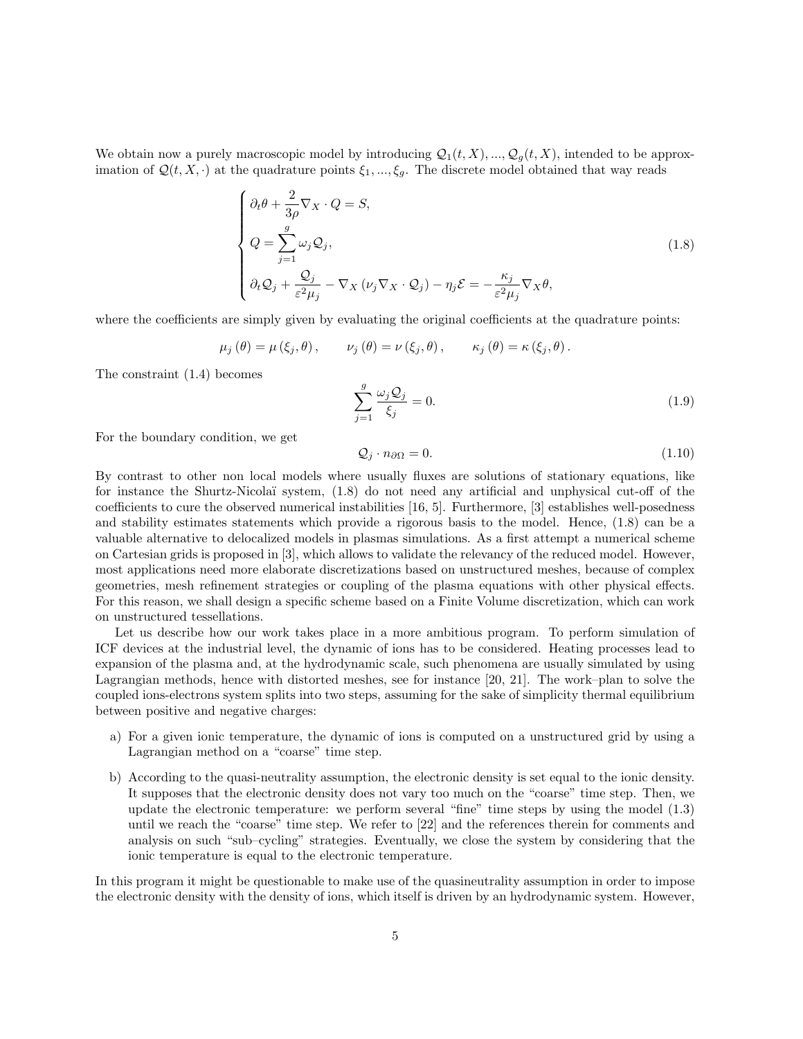We obtain now a purely macroscopic model by introducing  $\mathcal{Q}_1(t, X), ..., \mathcal{Q}_q(t, X)$ , intended to be approximation of  $\mathcal{Q}(t, X, \cdot)$  at the quadrature points  $\xi_1, ..., \xi_g$ . The discrete model obtained that way reads

$$
\begin{cases}\n\partial_t \theta + \frac{2}{3\rho} \nabla_X \cdot Q = S, \\
Q = \sum_{j=1}^g \omega_j Q_j, \\
\partial_t Q_j + \frac{Q_j}{\varepsilon^2 \mu_j} - \nabla_X (\nu_j \nabla_X \cdot Q_j) - \eta_j \mathcal{E} = -\frac{\kappa_j}{\varepsilon^2 \mu_j} \nabla_X \theta,\n\end{cases}
$$
\n(1.8)

where the coefficients are simply given by evaluating the original coefficients at the quadrature points:

$$
\mu_j(\theta) = \mu(\xi_j, \theta), \qquad \nu_j(\theta) = \nu(\xi_j, \theta), \qquad \kappa_j(\theta) = \kappa(\xi_j, \theta).
$$

The constraint (1.4) becomes

$$
\sum_{j=1}^{g} \frac{\omega_j Q_j}{\xi_j} = 0.
$$
\n(1.9)

For the boundary condition, we get

$$
\mathcal{Q}_j \cdot n_{\partial \Omega} = 0. \tag{1.10}
$$

By contrast to other non local models where usually fluxes are solutions of stationary equations, like for instance the Shurtz-Nicola¨ı system, (1.8) do not need any artificial and unphysical cut-off of the coefficients to cure the observed numerical instabilities [16, 5]. Furthermore, [3] establishes well-posedness and stability estimates statements which provide a rigorous basis to the model. Hence, (1.8) can be a valuable alternative to delocalized models in plasmas simulations. As a first attempt a numerical scheme on Cartesian grids is proposed in [3], which allows to validate the relevancy of the reduced model. However, most applications need more elaborate discretizations based on unstructured meshes, because of complex geometries, mesh refinement strategies or coupling of the plasma equations with other physical effects. For this reason, we shall design a specific scheme based on a Finite Volume discretization, which can work on unstructured tessellations.

Let us describe how our work takes place in a more ambitious program. To perform simulation of ICF devices at the industrial level, the dynamic of ions has to be considered. Heating processes lead to expansion of the plasma and, at the hydrodynamic scale, such phenomena are usually simulated by using Lagrangian methods, hence with distorted meshes, see for instance [20, 21]. The work–plan to solve the coupled ions-electrons system splits into two steps, assuming for the sake of simplicity thermal equilibrium between positive and negative charges:

- a) For a given ionic temperature, the dynamic of ions is computed on a unstructured grid by using a Lagrangian method on a "coarse" time step.
- b) According to the quasi-neutrality assumption, the electronic density is set equal to the ionic density. It supposes that the electronic density does not vary too much on the "coarse" time step. Then, we update the electronic temperature: we perform several "fine" time steps by using the model (1.3) until we reach the "coarse" time step. We refer to [22] and the references therein for comments and analysis on such "sub–cycling" strategies. Eventually, we close the system by considering that the ionic temperature is equal to the electronic temperature.

In this program it might be questionable to make use of the quasineutrality assumption in order to impose the electronic density with the density of ions, which itself is driven by an hydrodynamic system. However,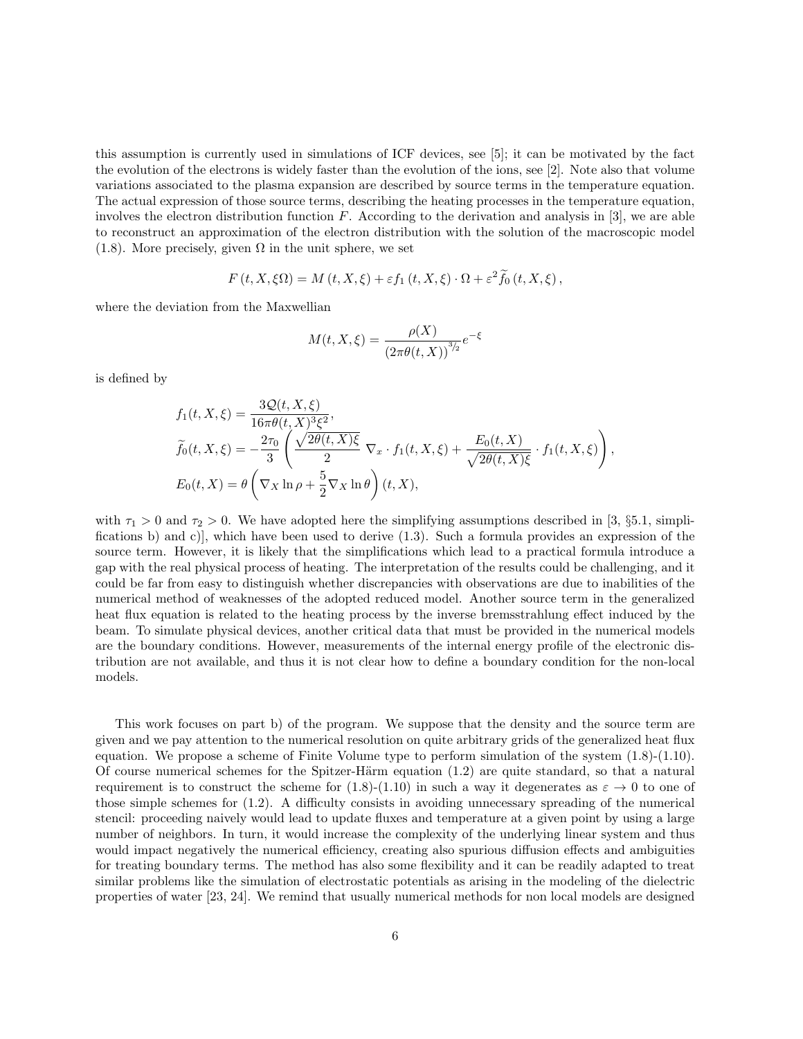this assumption is currently used in simulations of ICF devices, see [5]; it can be motivated by the fact the evolution of the electrons is widely faster than the evolution of the ions, see [2]. Note also that volume variations associated to the plasma expansion are described by source terms in the temperature equation. The actual expression of those source terms, describing the heating processes in the temperature equation, involves the electron distribution function  $F$ . According to the derivation and analysis in [3], we are able to reconstruct an approximation of the electron distribution with the solution of the macroscopic model (1.8). More precisely, given  $\Omega$  in the unit sphere, we set

$$
F(t, X, \xi\Omega) = M(t, X, \xi) + \varepsilon f_1(t, X, \xi) \cdot \Omega + \varepsilon^2 \widetilde{f}_0(t, X, \xi),
$$

where the deviation from the Maxwellian

$$
M(t, X, \xi) = \frac{\rho(X)}{(2\pi\theta(t, X))^{3/2}} e^{-\xi}
$$

is defined by

$$
f_1(t, X, \xi) = \frac{3\mathcal{Q}(t, X, \xi)}{16\pi\theta(t, X)^3 \xi^2},
$$
  
\n
$$
\widetilde{f}_0(t, X, \xi) = -\frac{2\tau_0}{3} \left( \frac{\sqrt{2\theta(t, X)\xi}}{2} \nabla_x \cdot f_1(t, X, \xi) + \frac{E_0(t, X)}{\sqrt{2\theta(t, X)\xi}} \cdot f_1(t, X, \xi) \right),
$$
  
\n
$$
E_0(t, X) = \theta \left( \nabla_X \ln \rho + \frac{5}{2} \nabla_X \ln \theta \right)(t, X),
$$

with  $\tau_1 > 0$  and  $\tau_2 > 0$ . We have adopted here the simplifying assumptions described in [3, §5.1, simplifications b) and c)], which have been used to derive (1.3). Such a formula provides an expression of the source term. However, it is likely that the simplifications which lead to a practical formula introduce a gap with the real physical process of heating. The interpretation of the results could be challenging, and it could be far from easy to distinguish whether discrepancies with observations are due to inabilities of the numerical method of weaknesses of the adopted reduced model. Another source term in the generalized heat flux equation is related to the heating process by the inverse bremsstrahlung effect induced by the beam. To simulate physical devices, another critical data that must be provided in the numerical models are the boundary conditions. However, measurements of the internal energy profile of the electronic distribution are not available, and thus it is not clear how to define a boundary condition for the non-local models.

This work focuses on part b) of the program. We suppose that the density and the source term are given and we pay attention to the numerical resolution on quite arbitrary grids of the generalized heat flux equation. We propose a scheme of Finite Volume type to perform simulation of the system (1.8)-(1.10). Of course numerical schemes for the Spitzer-Härm equation  $(1.2)$  are quite standard, so that a natural requirement is to construct the scheme for (1.8)-(1.10) in such a way it degenerates as  $\varepsilon \to 0$  to one of those simple schemes for (1.2). A difficulty consists in avoiding unnecessary spreading of the numerical stencil: proceeding naively would lead to update fluxes and temperature at a given point by using a large number of neighbors. In turn, it would increase the complexity of the underlying linear system and thus would impact negatively the numerical efficiency, creating also spurious diffusion effects and ambiguities for treating boundary terms. The method has also some flexibility and it can be readily adapted to treat similar problems like the simulation of electrostatic potentials as arising in the modeling of the dielectric properties of water [23, 24]. We remind that usually numerical methods for non local models are designed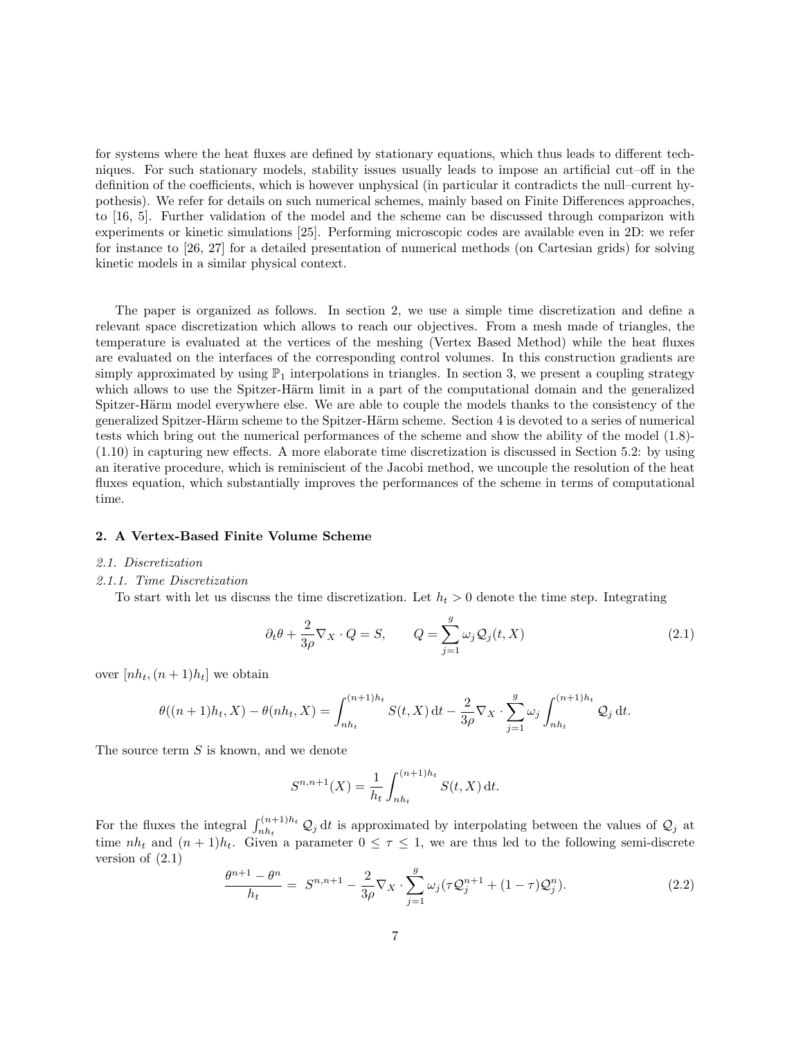for systems where the heat fluxes are defined by stationary equations, which thus leads to different techniques. For such stationary models, stability issues usually leads to impose an artificial cut–off in the definition of the coefficients, which is however unphysical (in particular it contradicts the null–current hypothesis). We refer for details on such numerical schemes, mainly based on Finite Differences approaches, to [16, 5]. Further validation of the model and the scheme can be discussed through comparizon with experiments or kinetic simulations [25]. Performing microscopic codes are available even in 2D: we refer for instance to [26, 27] for a detailed presentation of numerical methods (on Cartesian grids) for solving kinetic models in a similar physical context.

The paper is organized as follows. In section 2, we use a simple time discretization and define a relevant space discretization which allows to reach our objectives. From a mesh made of triangles, the temperature is evaluated at the vertices of the meshing (Vertex Based Method) while the heat fluxes are evaluated on the interfaces of the corresponding control volumes. In this construction gradients are simply approximated by using  $\mathbb{P}_1$  interpolations in triangles. In section 3, we present a coupling strategy which allows to use the Spitzer-Härm limit in a part of the computational domain and the generalized Spitzer-Härm model everywhere else. We are able to couple the models thanks to the consistency of the generalized Spitzer-Härm scheme to the Spitzer-Härm scheme. Section 4 is devoted to a series of numerical tests which bring out the numerical performances of the scheme and show the ability of the model (1.8)- (1.10) in capturing new effects. A more elaborate time discretization is discussed in Section 5.2: by using an iterative procedure, which is reminiscient of the Jacobi method, we uncouple the resolution of the heat fluxes equation, which substantially improves the performances of the scheme in terms of computational time.

### 2. A Vertex-Based Finite Volume Scheme

### 2.1. Discretization

# 2.1.1. Time Discretization

To start with let us discuss the time discretization. Let  $h_t > 0$  denote the time step. Integrating

$$
\partial_t \theta + \frac{2}{3\rho} \nabla_X \cdot Q = S, \qquad Q = \sum_{j=1}^g \omega_j Q_j(t, X)
$$
\n(2.1)

over  $[nh_t,(n+1)h_t]$  we obtain

$$
\theta((n+1)h_t, X) - \theta(nh_t, X) = \int_{nh_t}^{(n+1)h_t} S(t, X) dt - \frac{2}{3\rho} \nabla_X \cdot \sum_{j=1}^g \omega_j \int_{nh_t}^{(n+1)h_t} Q_j dt.
$$

The source term S is known, and we denote

$$
S^{n,n+1}(X) = \frac{1}{h_t} \int_{nh_t}^{(n+1)h_t} S(t, X) dt.
$$

For the fluxes the integral  $\int_{nh_t}^{(n+1)h_t} \mathcal{Q}_j dt$  is approximated by interpolating between the values of  $\mathcal{Q}_j$  at time  $nh_t$  and  $(n + 1)h_t$ . Given a parameter  $0 \leq \tau \leq 1$ , we are thus led to the following semi-discrete version of  $(2.1)$ 

$$
\frac{\theta^{n+1} - \theta^n}{h_t} = S^{n,n+1} - \frac{2}{3\rho} \nabla_X \cdot \sum_{j=1}^g \omega_j (\tau \mathcal{Q}_j^{n+1} + (1-\tau)\mathcal{Q}_j^n). \tag{2.2}
$$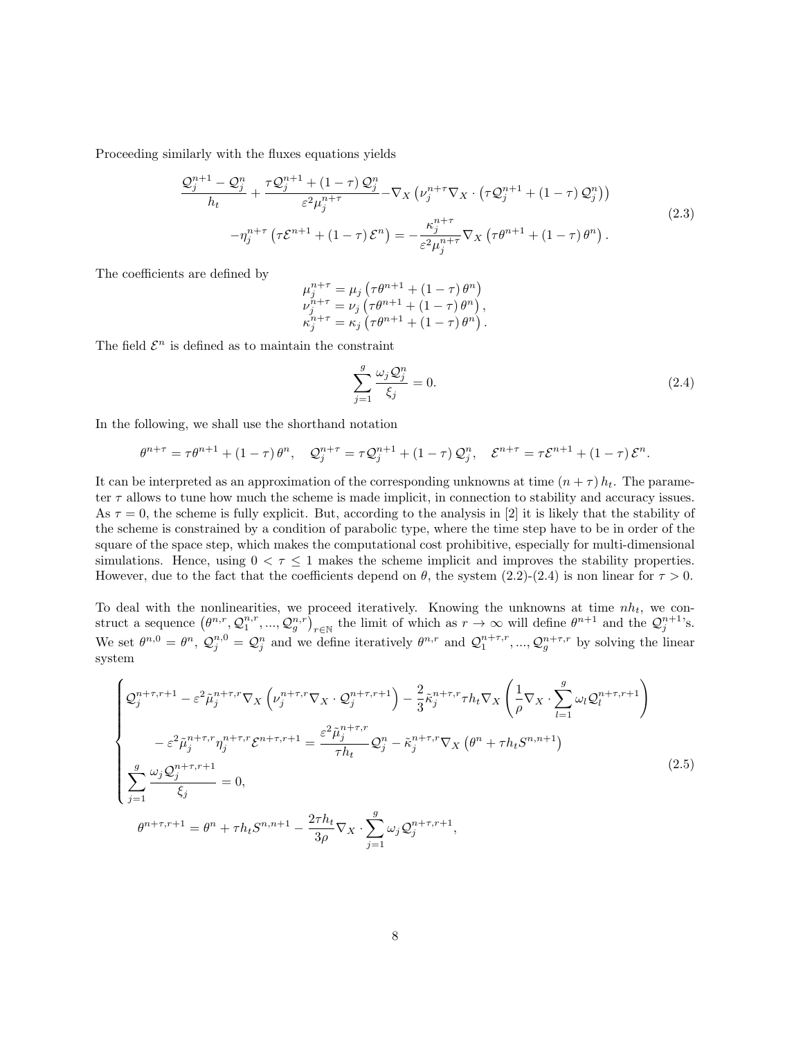Proceeding similarly with the fluxes equations yields

$$
\frac{\mathcal{Q}_j^{n+1} - \mathcal{Q}_j^n}{h_t} + \frac{\tau \mathcal{Q}_j^{n+1} + (1-\tau) \mathcal{Q}_j^n}{\varepsilon^2 \mu_j^{n+\tau}} - \nabla_X \left( \nu_j^{n+\tau} \nabla_X \cdot \left( \tau \mathcal{Q}_j^{n+1} + (1-\tau) \mathcal{Q}_j^n \right) \right)
$$
\n
$$
- \eta_j^{n+\tau} \left( \tau \mathcal{E}^{n+1} + (1-\tau) \mathcal{E}^n \right) = -\frac{\kappa_j^{n+\tau}}{\varepsilon^2 \mu_j^{n+\tau}} \nabla_X \left( \tau \theta^{n+1} + (1-\tau) \theta^n \right).
$$
\n(2.3)

The coefficients are defined by

$$
\mu_{j}^{n+\tau} = \mu_{j} (\tau \theta^{n+1} + (1 - \tau) \theta^{n}) \n\nu_{j}^{n+\tau} = \nu_{j} (\tau \theta^{n+1} + (1 - \tau) \theta^{n}), \n\kappa_{j}^{n+\tau} = \kappa_{j} (\tau \theta^{n+1} + (1 - \tau) \theta^{n}).
$$

The field  $\mathcal{E}^n$  is defined as to maintain the constraint

$$
\sum_{j=1}^{g} \frac{\omega_j \mathcal{Q}_j^n}{\xi_j} = 0. \tag{2.4}
$$

In the following, we shall use the shorthand notation

$$
\theta^{n+\tau} = \tau \theta^{n+1} + (1-\tau) \theta^n, \quad \mathcal{Q}_j^{n+\tau} = \tau \mathcal{Q}_j^{n+1} + (1-\tau) \mathcal{Q}_j^n, \quad \mathcal{E}^{n+\tau} = \tau \mathcal{E}^{n+1} + (1-\tau) \mathcal{E}^n.
$$

It can be interpreted as an approximation of the corresponding unknowns at time  $(n + \tau) h_t$ . The parameter  $\tau$  allows to tune how much the scheme is made implicit, in connection to stability and accuracy issues. As  $\tau = 0$ , the scheme is fully explicit. But, according to the analysis in [2] it is likely that the stability of the scheme is constrained by a condition of parabolic type, where the time step have to be in order of the square of the space step, which makes the computational cost prohibitive, especially for multi-dimensional simulations. Hence, using  $0 < \tau \leq 1$  makes the scheme implicit and improves the stability properties. However, due to the fact that the coefficients depend on  $\theta$ , the system (2.2)-(2.4) is non linear for  $\tau > 0$ .

To deal with the nonlinearities, we proceed iteratively. Knowing the unknowns at time  $nh_t$ , we construct a sequence  $(\theta^{n,r}, \mathcal{Q}_1^{n,r}, ..., \mathcal{Q}_g^{n,r})_{r \in \mathbb{N}}$  the limit of which as  $r \to \infty$  will define  $\theta^{n+1}$  and the  $\mathcal{Q}_j^{n+1}$ 's. We set  $\theta^{n,0} = \theta^n$ ,  $\mathcal{Q}_j^{n,0} = \mathcal{Q}_j^n$  and we define iteratively  $\theta^{n,r}$  and  $\mathcal{Q}_1^{n+\tau,r}$ , ...,  $\mathcal{Q}_g^{n+\tau,r}$  by solving the linear system

$$
\begin{cases}\n\mathcal{Q}_{j}^{n+\tau,r+1} - \varepsilon^{2} \tilde{\mu}_{j}^{n+\tau,r} \nabla_{X} \left( \nu_{j}^{n+\tau,r} \nabla_{X} \cdot \mathcal{Q}_{j}^{n+\tau,r+1} \right) - \frac{2}{3} \tilde{\kappa}_{j}^{n+\tau,r} \tau h_{t} \nabla_{X} \left( \frac{1}{\rho} \nabla_{X} \cdot \sum_{l=1}^{g} \omega_{l} \mathcal{Q}_{l}^{n+\tau,r+1} \right) \\
-\varepsilon^{2} \tilde{\mu}_{j}^{n+\tau,r} \eta_{j}^{n+\tau,r} \mathcal{E}^{n+\tau,r+1} = \frac{\varepsilon^{2} \tilde{\mu}_{j}^{n+\tau,r}}{\tau h_{t}} \mathcal{Q}_{j}^{n} - \tilde{\kappa}_{j}^{n+\tau,r} \nabla_{X} \left( \theta^{n} + \tau h_{t} S^{n,n+1} \right) \\
\sum_{j=1}^{g} \frac{\omega_{j} \mathcal{Q}_{j}^{n+\tau,r+1}}{\xi_{j}} = 0, \\
\theta^{n+\tau,r+1} = \theta^{n} + \tau h_{t} S^{n,n+1} - \frac{2\tau h_{t}}{3\rho} \nabla_{X} \cdot \sum_{j=1}^{g} \omega_{j} \mathcal{Q}_{j}^{n+\tau,r+1},\n\end{cases} (2.5)
$$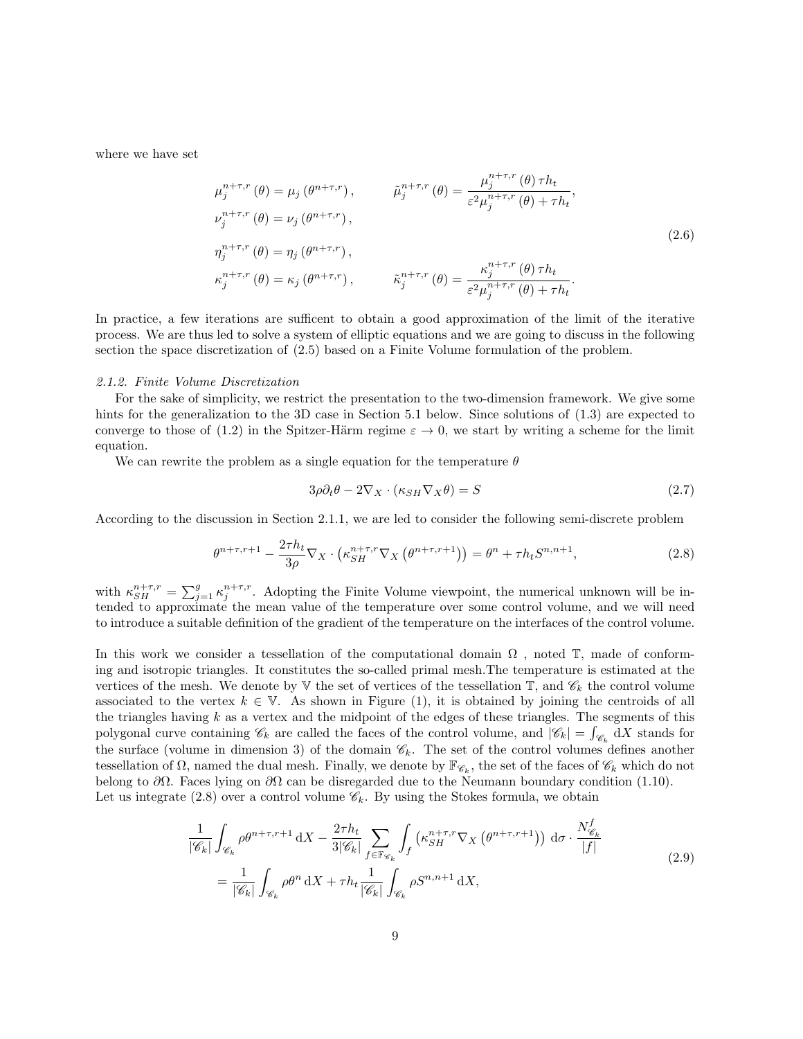where we have set

$$
\mu_j^{n+\tau,r}(\theta) = \mu_j(\theta^{n+\tau,r}), \qquad \tilde{\mu}_j^{n+\tau,r}(\theta) = \frac{\mu_j^{n+\tau,r}(\theta)\tau h_t}{\varepsilon^2 \mu_j^{n+\tau,r}(\theta) + \tau h_t},
$$
  
\n
$$
\nu_j^{n+\tau,r}(\theta) = \nu_j(\theta^{n+\tau,r}),
$$
  
\n
$$
\eta_j^{n+\tau,r}(\theta) = \eta_j(\theta^{n+\tau,r}), \qquad \tilde{\kappa}_j^{n+\tau,r}(\theta) = \frac{\kappa_j^{n+\tau,r}(\theta)\tau h_t}{\varepsilon^2 \mu_j^{n+\tau,r}(\theta) + \tau h_t}.
$$
\n(2.6)

In practice, a few iterations are sufficent to obtain a good approximation of the limit of the iterative process. We are thus led to solve a system of elliptic equations and we are going to discuss in the following section the space discretization of (2.5) based on a Finite Volume formulation of the problem.

### 2.1.2. Finite Volume Discretization

For the sake of simplicity, we restrict the presentation to the two-dimension framework. We give some hints for the generalization to the 3D case in Section 5.1 below. Since solutions of  $(1.3)$  are expected to converge to those of (1.2) in the Spitzer-Härm regime  $\varepsilon \to 0$ , we start by writing a scheme for the limit equation.

We can rewrite the problem as a single equation for the temperature  $\theta$ 

$$
3\rho \partial_t \theta - 2\nabla_X \cdot (\kappa_{SH} \nabla_X \theta) = S \tag{2.7}
$$

According to the discussion in Section 2.1.1, we are led to consider the following semi-discrete problem

$$
\theta^{n+\tau,r+1} - \frac{2\tau h_t}{3\rho} \nabla_X \cdot \left( \kappa_{SH}^{n+\tau,r} \nabla_X \left( \theta^{n+\tau,r+1} \right) \right) = \theta^n + \tau h_t S^{n,n+1},\tag{2.8}
$$

with  $\kappa_{SH}^{n+\tau,r} = \sum_{j=1}^g \kappa_j^{n+\tau,r}$ . Adopting the Finite Volume viewpoint, the numerical unknown will be intended to approximate the mean value of the temperature over some control volume, and we will need to introduce a suitable definition of the gradient of the temperature on the interfaces of the control volume.

In this work we consider a tessellation of the computational domain  $\Omega$ , noted  $\mathbb T$ , made of conforming and isotropic triangles. It constitutes the so-called primal mesh.The temperature is estimated at the vertices of the mesh. We denote by  $\nabla$  the set of vertices of the tessellation  $\mathbb{T}$ , and  $\mathscr{C}_k$  the control volume associated to the vertex  $k \in \mathbb{V}$ . As shown in Figure (1), it is obtained by joining the centroids of all the triangles having  $k$  as a vertex and the midpoint of the edges of these triangles. The segments of this polygonal curve containing  $\mathscr{C}_k$  are called the faces of the control volume, and  $|\mathscr{C}_k| = \int_{\mathscr{C}_k} dX$  stands for the surface (volume in dimension 3) of the domain  $\mathscr{C}_k$ . The set of the control volumes defines another tessellation of  $\Omega$ , named the dual mesh. Finally, we denote by  $\mathbb{F}_{\mathscr{C}_k}$ , the set of the faces of  $\mathscr{C}_k$  which do not belong to  $\partial\Omega$ . Faces lying on  $\partial\Omega$  can be disregarded due to the Neumann boundary condition (1.10). Let us integrate (2.8) over a control volume  $\mathscr{C}_k$ . By using the Stokes formula, we obtain

$$
\frac{1}{|\mathscr{C}_k|} \int_{\mathscr{C}_k} \rho \theta^{n+\tau,r+1} dX - \frac{2\tau h_t}{3|\mathscr{C}_k|} \sum_{f \in \mathbb{F}_{\mathscr{C}_k}} \int_f \left( \kappa_{SH}^{n+\tau,r} \nabla_X \left( \theta^{n+\tau,r+1} \right) \right) d\sigma \cdot \frac{N_{\mathscr{C}_k}^f}{|f|}
$$
\n
$$
= \frac{1}{|\mathscr{C}_k|} \int_{\mathscr{C}_k} \rho \theta^n dX + \tau h_t \frac{1}{|\mathscr{C}_k|} \int_{\mathscr{C}_k} \rho S^{n,n+1} dX,
$$
\n(2.9)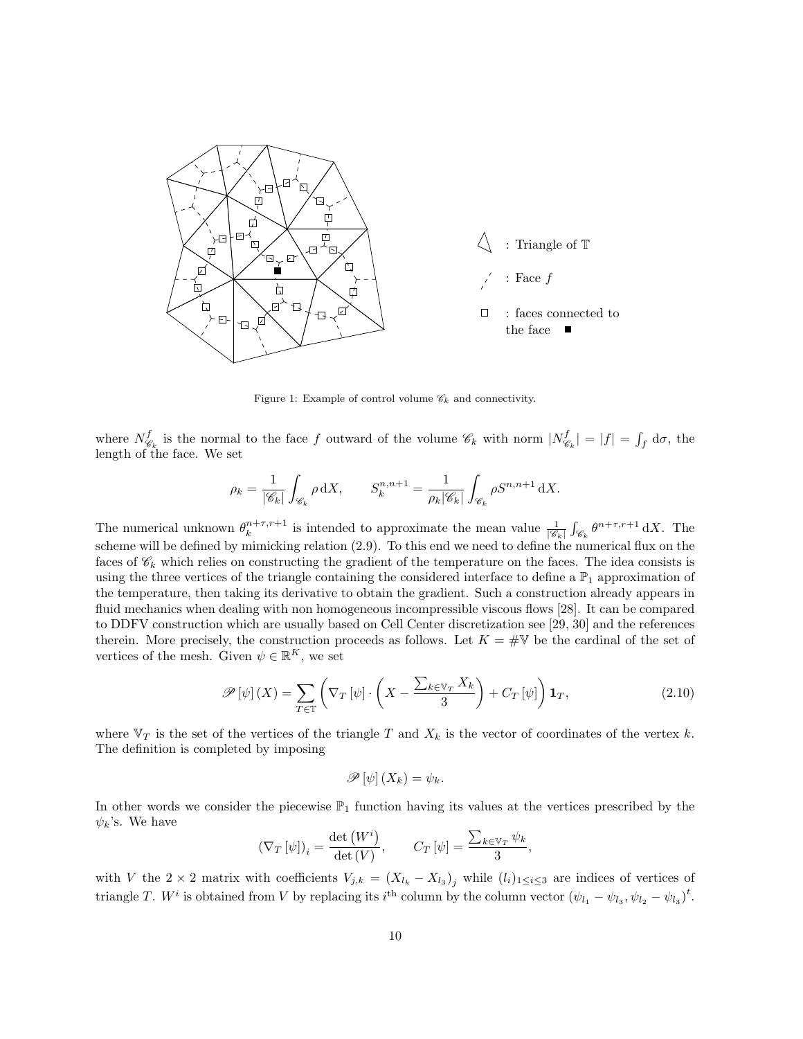

Figure 1: Example of control volume  $\mathscr{C}_k$  and connectivity.

where  $N_{\mathscr{C}}^f$  $\mathcal{C}_{\mathscr{C}_k}$  is the normal to the face f outward of the volume  $\mathscr{C}_k$  with norm  $|N_{\mathscr{C}}^f|$  $\mathcal{E}_{\epsilon_k}^f$  =  $|f| = \int_f d\sigma$ , the length of the face. We set

$$
\rho_k = \frac{1}{|\mathscr{C}_k|} \int_{\mathscr{C}_k} \rho \, \mathrm{d}X, \qquad S_k^{n,n+1} = \frac{1}{\rho_k |\mathscr{C}_k|} \int_{\mathscr{C}_k} \rho S^{n,n+1} \, \mathrm{d}X.
$$

The numerical unknown  $\theta_k^{n+\tau,r+1}$  is intended to approximate the mean value  $\frac{1}{|\mathscr{C}_k|} \int_{\mathscr{C}_k} \theta^{n+\tau,r+1} dX$ . The scheme will be defined by mimicking relation (2.9). To this end we need to define the numerical flux on the faces of  $\mathscr{C}_k$  which relies on constructing the gradient of the temperature on the faces. The idea consists is using the three vertices of the triangle containing the considered interface to define a  $\mathbb{P}_1$  approximation of the temperature, then taking its derivative to obtain the gradient. Such a construction already appears in fluid mechanics when dealing with non homogeneous incompressible viscous flows [28]. It can be compared to DDFV construction which are usually based on Cell Center discretization see [29, 30] and the references therein. More precisely, the construction proceeds as follows. Let  $K = \#V$  be the cardinal of the set of vertices of the mesh. Given  $\psi \in \mathbb{R}^K$ , we set

$$
\mathscr{P}[\psi](X) = \sum_{T \in \mathbb{T}} \left( \nabla_T [\psi] \cdot \left( X - \frac{\sum_{k \in \mathbb{V}_T} X_k}{3} \right) + C_T [\psi] \right) \mathbf{1}_T, \tag{2.10}
$$

where  $V_T$  is the set of the vertices of the triangle T and  $X_k$  is the vector of coordinates of the vertex k. The definition is completed by imposing

$$
\mathscr{P}[\psi](X_k) = \psi_k.
$$

In other words we consider the piecewise  $\mathbb{P}_1$  function having its values at the vertices prescribed by the  $\psi_k$ 's. We have

$$
(\nabla_T \left[\psi\right])_i = \frac{\det\left(W^i\right)}{\det\left(V\right)}, \qquad C_T \left[\psi\right] = \frac{\sum_{k \in \mathbb{V}_T} \psi_k}{3},
$$

with V the 2 × 2 matrix with coefficients  $V_{j,k} = (X_{l_k} - X_{l_3})_j$  while  $(l_i)_{1 \leq i \leq 3}$  are indices of vertices of triangle T. W<sup>*i*</sup> is obtained from V by replacing its *i*<sup>th</sup> column by the column vector  $(\psi_{l_1} - \psi_{l_3}, \psi_{l_2} - \psi_{l_3})^t$ .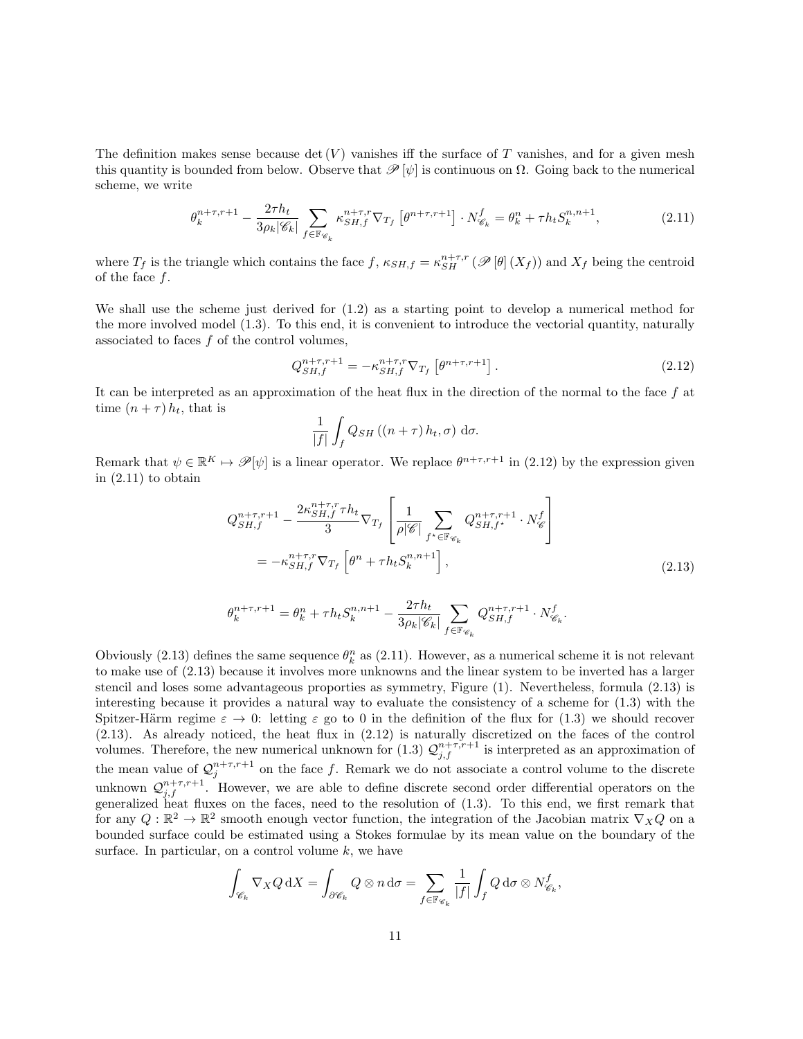The definition makes sense because det  $(V)$  vanishes iff the surface of T vanishes, and for a given mesh this quantity is bounded from below. Observe that  $\mathscr{P}[\psi]$  is continuous on  $\Omega$ . Going back to the numerical scheme, we write

$$
\theta_k^{n+\tau,r+1} - \frac{2\tau h_t}{3\rho_k|\mathscr{C}_k|} \sum_{f \in \mathbb{F}_{\mathscr{C}_k}} \kappa_{SH,f}^{n+\tau,r} \nabla_{T_f} \left[ \theta^{n+\tau,r+1} \right] \cdot N_{\mathscr{C}_k}^f = \theta_k^n + \tau h_t S_k^{n,n+1},\tag{2.11}
$$

where  $T_f$  is the triangle which contains the face  $f$ ,  $\kappa_{SH,f} = \kappa_{SH}^{n+\tau,r} (\mathscr{P}[\theta](X_f))$  and  $X_f$  being the centroid of the face  $f$ .

We shall use the scheme just derived for (1.2) as a starting point to develop a numerical method for the more involved model (1.3). To this end, it is convenient to introduce the vectorial quantity, naturally associated to faces  $f$  of the control volumes,

$$
Q_{SH,f}^{n+\tau,r+1} = -\kappa_{SH,f}^{n+\tau,r} \nabla_{T_f} \left[ \theta^{n+\tau,r+1} \right]. \tag{2.12}
$$

It can be interpreted as an approximation of the heat flux in the direction of the normal to the face  $f$  at time  $(n + \tau) h_t$ , that is

$$
\frac{1}{|f|} \int_{f} Q_{SH} \left( (n+\tau) h_t, \sigma \right) d\sigma.
$$

Remark that  $\psi \in \mathbb{R}^K \mapsto \mathscr{P}[\psi]$  is a linear operator. We replace  $\theta^{n+\tau,r+1}$  in (2.12) by the expression given in (2.11) to obtain

$$
Q_{SH,f}^{n+\tau,r+1} - \frac{2\kappa_{SH,f}^{n+\tau,r}\tau h_t}{3} \nabla_{T_f} \left[ \frac{1}{\rho |\mathscr{C}|} \sum_{f^* \in \mathbb{F}_{\mathscr{C}_k}} Q_{SH,f^*}^{n+\tau,r+1} \cdot N_{\mathscr{C}}^f \right]
$$
  
=  $-\kappa_{SH,f}^{n+\tau,r} \nabla_{T_f} \left[ \theta^n + \tau h_t S_k^{n,n+1} \right],$  (2.13)

$$
\theta_k^{n+\tau,r+1} = \theta_k^n + \tau h_t S_k^{n,n+1} - \frac{2\tau h_t}{3\rho_k |\mathscr{C}_k|} \sum_{f \in \mathbb{F}_{\mathscr{C}_k}} Q_{SH,f}^{n+\tau,r+1} \cdot N_{\mathscr{C}_k}^f.
$$

Obviously (2.13) defines the same sequence  $\theta_k^n$  as (2.11). However, as a numerical scheme it is not relevant to make use of (2.13) because it involves more unknowns and the linear system to be inverted has a larger stencil and loses some advantageous proporties as symmetry, Figure (1). Nevertheless, formula (2.13) is interesting because it provides a natural way to evaluate the consistency of a scheme for (1.3) with the Spitzer-Härm regime  $\varepsilon \to 0$ : letting  $\varepsilon$  go to 0 in the definition of the flux for (1.3) we should recover (2.13). As already noticed, the heat flux in (2.12) is naturally discretized on the faces of the control volumes. Therefore, the new numerical unknown for (1.3)  $\mathcal{Q}_{j,f}^{n+\tau,r+1}$  is interpreted as an approximation of the mean value of  $\mathcal{Q}_j^{n+\tau,r+1}$  on the face f. Remark we do not associate a control volume to the discrete unknown  $\mathcal{Q}_{j,f}^{n+\tau,r+1}$ . However, we are able to define discrete second order differential operators on the generalized heat fluxes on the faces, need to the resolution of (1.3). To this end, we first remark that for any  $Q: \mathbb{R}^2 \to \mathbb{R}^2$  smooth enough vector function, the integration of the Jacobian matrix  $\nabla_X Q$  on a bounded surface could be estimated using a Stokes formulae by its mean value on the boundary of the surface. In particular, on a control volume  $k$ , we have

$$
\int_{\mathscr{C}_k} \nabla_X Q \, dX = \int_{\partial \mathscr{C}_k} Q \otimes n \, d\sigma = \sum_{f \in \mathbb{F}_{\mathscr{C}_k}} \frac{1}{|f|} \int_f Q \, d\sigma \otimes N_{\mathscr{C}_k}^f,
$$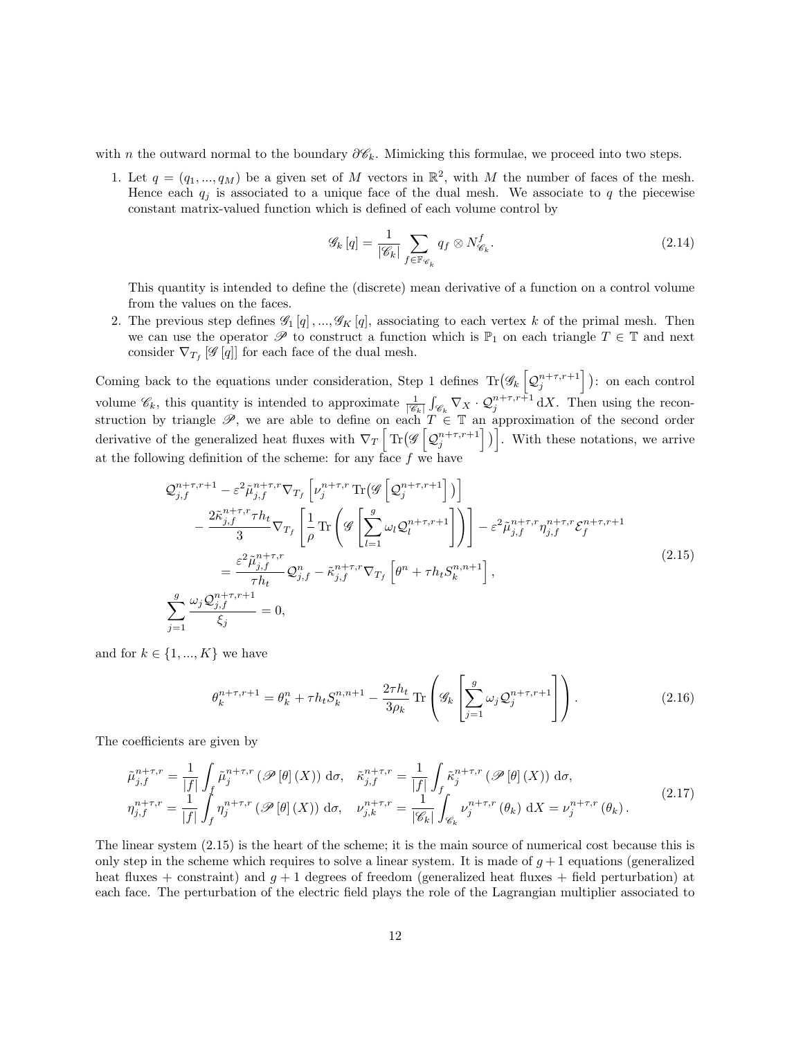with n the outward normal to the boundary  $\partial \mathscr{C}_k$ . Mimicking this formulae, we proceed into two steps.

1. Let  $q = (q_1, ..., q_M)$  be a given set of M vectors in  $\mathbb{R}^2$ , with M the number of faces of the mesh. Hence each  $q_j$  is associated to a unique face of the dual mesh. We associate to q the piecewise constant matrix-valued function which is defined of each volume control by

$$
\mathscr{G}_k\left[q\right] = \frac{1}{|\mathscr{C}_k|} \sum_{f \in \mathbb{F}_{\mathscr{C}_k}} q_f \otimes N_{\mathscr{C}_k}^f. \tag{2.14}
$$

This quantity is intended to define the (discrete) mean derivative of a function on a control volume from the values on the faces.

2. The previous step defines  $\mathscr{G}_1[q], \dots, \mathscr{G}_K[q]$ , associating to each vertex k of the primal mesh. Then we can use the operator  $\mathscr P$  to construct a function which is  $\mathbb P_1$  on each triangle  $T \in \mathbb T$  and next consider  $\nabla_{T_f}$  [ $\mathscr{G}[q]$ ] for each face of the dual mesh.

Coming back to the equations under consideration, Step 1 defines  $\text{Tr}(\mathscr{G}_k \left[ \mathcal{Q}_j^{n+\tau,r+1} \right])$ : on each control volume  $\mathscr{C}_k$ , this quantity is intended to approximate  $\frac{1}{|\mathscr{C}_k|} \int_{\mathscr{C}_k} \nabla_X \cdot \mathcal{Q}_j^{n+\tau,r+1} dX$ . Then using the reconstruction by triangle  $\mathscr{P}$ , we are able to define on each  $T \in \mathbb{T}$  an approximation of the second order derivative of the generalized heat fluxes with  $\nabla_T \left[ \text{Tr}(\mathscr{G} \left[ \mathcal{Q}_j^{n+\tau,r+1} \right]) \right]$ . With these notations, we arrive at the following definition of the scheme: for any face  $f$  we have

$$
\mathcal{Q}_{j,f}^{n+\tau,r+1} - \varepsilon^2 \tilde{\mu}_{j,f}^{n+\tau,r} \nabla_{T_f} \left[ \nu_j^{n+\tau,r} \operatorname{Tr} \left( \mathcal{G} \left[ \mathcal{Q}_j^{n+\tau,r+1} \right] \right) \right] \n- \frac{2 \tilde{\kappa}_{j,f}^{n+\tau,r} \tau h_t}{3} \nabla_{T_f} \left[ \frac{1}{\rho} \operatorname{Tr} \left( \mathcal{G} \left[ \sum_{l=1}^g \omega_l \mathcal{Q}_l^{n+\tau,r+1} \right] \right) \right] - \varepsilon^2 \tilde{\mu}_{j,f}^{n+\tau,r} \eta_{j,f}^{n+\tau,r} \mathcal{E}_f^{n+\tau,r+1} \n= \frac{\varepsilon^2 \tilde{\mu}_{j,f}^{n+\tau,r}}{\tau h_t} \mathcal{Q}_{j,f}^n - \tilde{\kappa}_{j,f}^{n+\tau,r} \nabla_{T_f} \left[ \theta^n + \tau h_t \mathcal{S}_k^{n,n+1} \right],
$$
\n
$$
\sum_{j=1}^g \frac{\omega_j \mathcal{Q}_{j,f}^{n+\tau,r+1}}{\xi_j} = 0,
$$
\n(2.15)

and for  $k \in \{1, ..., K\}$  we have

$$
\theta_k^{n+\tau,r+1} = \theta_k^n + \tau h_t S_k^{n,n+1} - \frac{2\tau h_t}{3\rho_k} \operatorname{Tr}\left(\mathcal{G}_k \left[\sum_{j=1}^g \omega_j \mathcal{Q}_j^{n+\tau,r+1}\right]\right). \tag{2.16}
$$

The coefficients are given by

$$
\tilde{\mu}_{j,f}^{n+\tau,r} = \frac{1}{|f|} \int_f \tilde{\mu}_j^{n+\tau,r} \left( \mathcal{P} \left[ \theta \right] (X) \right) d\sigma, \quad \tilde{\kappa}_{j,f}^{n+\tau,r} = \frac{1}{|f|} \int_f \tilde{\kappa}_j^{n+\tau,r} \left( \mathcal{P} \left[ \theta \right] (X) \right) d\sigma,
$$
\n
$$
\eta_{j,f}^{n+\tau,r} = \frac{1}{|f|} \int_f \eta_j^{n+\tau,r} \left( \mathcal{P} \left[ \theta \right] (X) \right) d\sigma, \quad \nu_{j,k}^{n+\tau,r} = \frac{1}{|\mathscr{C}_k|} \int_{\mathscr{C}_k} \nu_j^{n+\tau,r} \left( \theta_k \right) dX = \nu_j^{n+\tau,r} \left( \theta_k \right).
$$
\n(2.17)

The linear system (2.15) is the heart of the scheme; it is the main source of numerical cost because this is only step in the scheme which requires to solve a linear system. It is made of  $q + 1$  equations (generalized heat fluxes + constraint) and  $g + 1$  degrees of freedom (generalized heat fluxes + field perturbation) at each face. The perturbation of the electric field plays the role of the Lagrangian multiplier associated to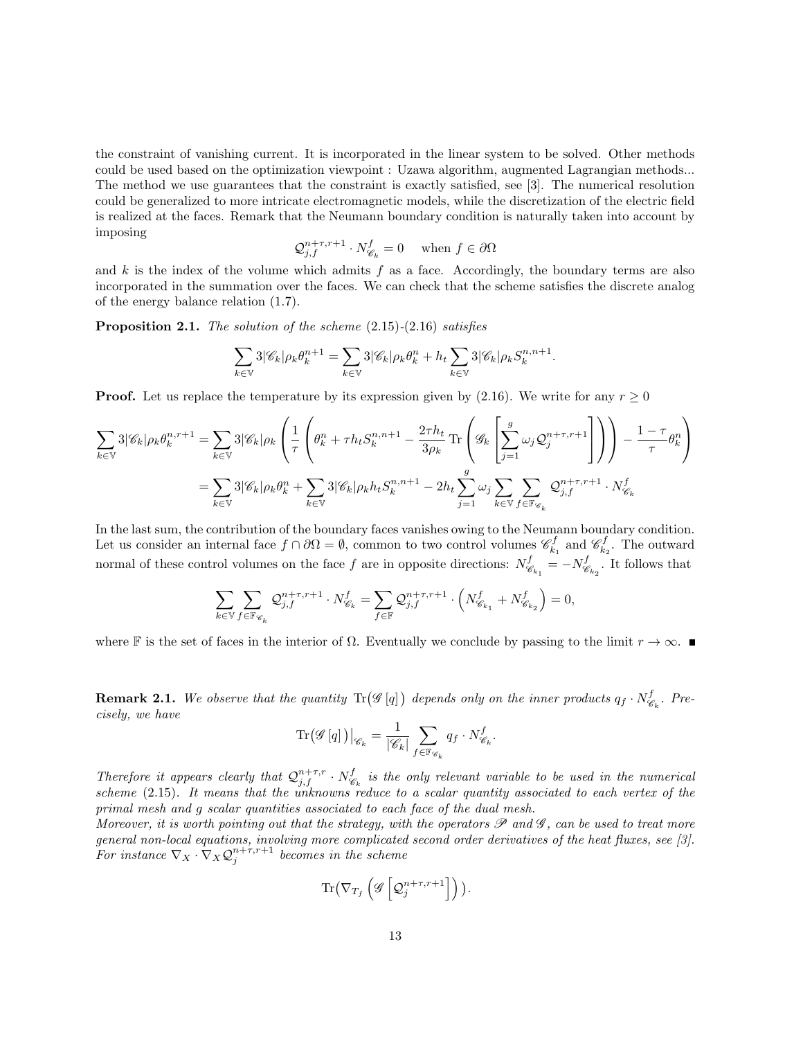the constraint of vanishing current. It is incorporated in the linear system to be solved. Other methods could be used based on the optimization viewpoint : Uzawa algorithm, augmented Lagrangian methods... The method we use guarantees that the constraint is exactly satisfied, see [3]. The numerical resolution could be generalized to more intricate electromagnetic models, while the discretization of the electric field is realized at the faces. Remark that the Neumann boundary condition is naturally taken into account by imposing

$$
\mathcal{Q}_{j,f}^{n+\tau,r+1} \cdot N_{\mathscr{C}_k}^f = 0 \quad \text{when } f \in \partial \Omega
$$

and k is the index of the volume which admits f as a face. Accordingly, the boundary terms are also incorporated in the summation over the faces. We can check that the scheme satisfies the discrete analog of the energy balance relation (1.7).

**Proposition 2.1.** The solution of the scheme  $(2.15)-(2.16)$  satisfies

$$
\sum_{k\in\mathbb{V}}3|\mathscr{C}_k|\rho_k\theta_k^{n+1}=\sum_{k\in\mathbb{V}}3|\mathscr{C}_k|\rho_k\theta_k^{n}+h_t\sum_{k\in\mathbb{V}}3|\mathscr{C}_k|\rho_kS_k^{n,n+1}.
$$

**Proof.** Let us replace the temperature by its expression given by (2.16). We write for any  $r \ge 0$ 

$$
\sum_{k \in \mathbb{V}} 3|\mathscr{C}_k|\rho_k \theta_k^{n,r+1} = \sum_{k \in \mathbb{V}} 3|\mathscr{C}_k|\rho_k \left(\frac{1}{\tau} \left(\theta_k^n + \tau h_t S_k^{n,n+1} - \frac{2\tau h_t}{3\rho_k} \operatorname{Tr}\left(\mathscr{G}_k \left[\sum_{j=1}^g \omega_j \mathcal{Q}_j^{n+\tau,r+1}\right]\right)\right) - \frac{1-\tau}{\tau} \theta_k^n\right)
$$

$$
= \sum_{k \in \mathbb{V}} 3|\mathscr{C}_k|\rho_k \theta_k^n + \sum_{k \in \mathbb{V}} 3|\mathscr{C}_k|\rho_k h_t S_k^{n,n+1} - 2h_t \sum_{j=1}^g \omega_j \sum_{k \in \mathbb{V}} \sum_{f \in \mathbb{F}_{\mathscr{C}_k}} \mathcal{Q}_{j,f}^{n+\tau,r+1} \cdot N_{\mathscr{C}_k}^f
$$

In the last sum, the contribution of the boundary faces vanishes owing to the Neumann boundary condition. Let us consider an internal face  $f \cap \partial\Omega = \emptyset$ , common to two control volumes  $\mathscr{C}^f_{k_1}$  and  $\mathscr{C}^f_{k_2}$ . The outward normal of these control volumes on the face f are in opposite directions:  $N_{\mathscr{C}}^f$  $\frac{f}{\mathscr{C}_{k_1}} = -N^f_{\mathscr{C}}$  $\mathscr{C}_{k_2}$ . It follows that

$$
\sum_{k\in \mathbb{V}} \sum_{f\in \mathbb{F}_{\mathscr{C}_k}} \mathcal{Q}_{j,f}^{n+\tau,r+1} \cdot N_{\mathscr{C}_k}^f = \sum_{f\in \mathbb{F}} \mathcal{Q}_{j,f}^{n+\tau,r+1} \cdot \left(N_{\mathscr{C}_{k_1}}^f + N_{\mathscr{C}_{k_2}}^f \right) = 0,
$$

where F is the set of faces in the interior of  $\Omega$ . Eventually we conclude by passing to the limit  $r \to \infty$ .

**Remark 2.1.** We observe that the quantity  $\text{Tr}(\mathscr{G}[q])$  depends only on the inner products  $q_f \cdot N^f_{\mathscr{G}}$  $\mathcal{C}_k$ . Precisely, we have

$$
\mathrm{Tr}\big(\mathscr{G}\left[q\right]\big)\big|_{\mathscr{C}_k} = \frac{1}{|\mathscr{C}_k|} \sum_{f \in \mathbb{F}_{\mathscr{C}_k}} q_f \cdot N_{\mathscr{C}_k}^f.
$$

Therefore it appears clearly that  $\mathcal{Q}_{j,f}^{n+\tau,r} \cdot N_{\mathscr{C}}^f$  $\mathscr{C}_k$  is the only relevant variable to be used in the numerical scheme (2.15). It means that the unknowns reduce to a scalar quantity associated to each vertex of the primal mesh and g scalar quantities associated to each face of the dual mesh.

Moreover, it is worth pointing out that the strategy, with the operators  $\mathscr P$  and  $\mathscr G$ , can be used to treat more general non-local equations, involving more complicated second order derivatives of the heat fluxes, see [3]. For instance  $\nabla_X \cdot \nabla_X \mathcal{Q}_j^{n+\tau,r+1}$  becomes in the scheme

$$
\text{Tr}\big(\nabla_{T_f}\left(\mathscr{G}\left[\mathcal{Q}_j^{n+\tau,r+1}\right]\right)\big).
$$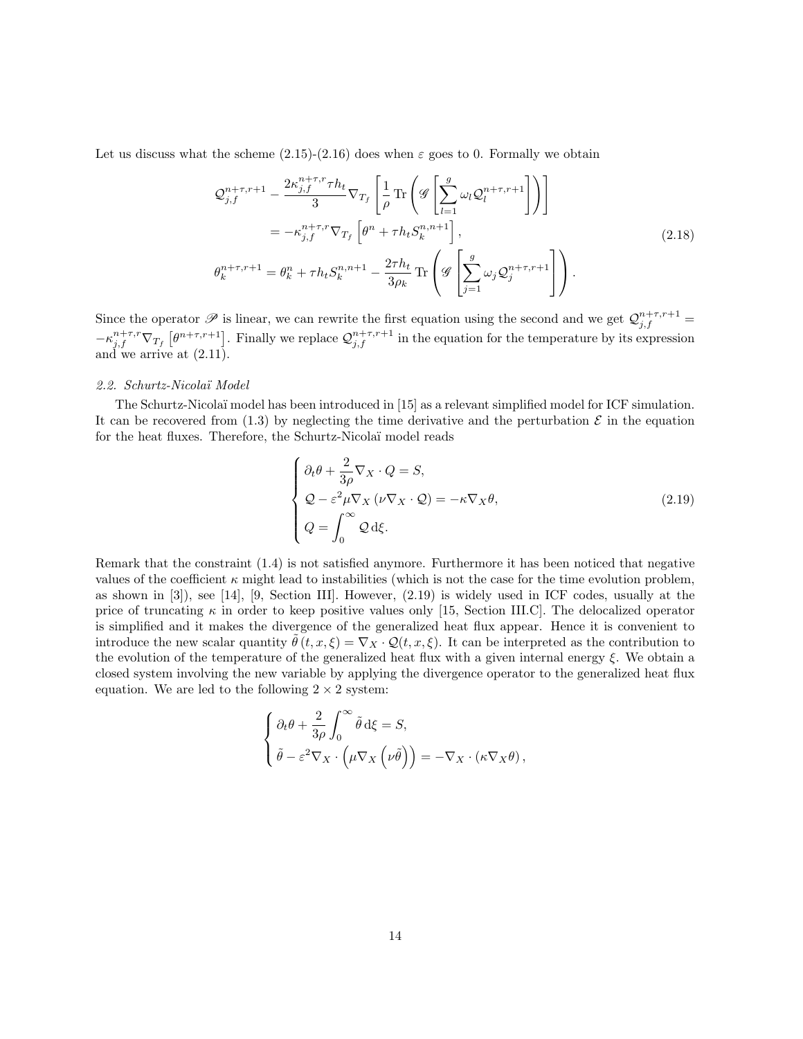Let us discuss what the scheme  $(2.15)-(2.16)$  does when  $\varepsilon$  goes to 0. Formally we obtain

$$
\mathcal{Q}_{j,f}^{n+\tau,r+1} - \frac{2\kappa_{j,f}^{n+\tau,r}\tau h_t}{3} \nabla_{T_f} \left[ \frac{1}{\rho} \text{Tr} \left( \mathcal{G} \left[ \sum_{l=1}^g \omega_l \mathcal{Q}_l^{n+\tau,r+1} \right] \right) \right]
$$
  
\n
$$
= -\kappa_{j,f}^{n+\tau,r} \nabla_{T_f} \left[ \theta^n + \tau h_t S_k^{n,n+1} \right],
$$
  
\n
$$
\theta_k^{n+\tau,r+1} = \theta_k^n + \tau h_t S_k^{n,n+1} - \frac{2\tau h_t}{3\rho_k} \text{Tr} \left( \mathcal{G} \left[ \sum_{j=1}^g \omega_j \mathcal{Q}_j^{n+\tau,r+1} \right] \right).
$$
\n(2.18)

Since the operator  $\mathscr P$  is linear, we can rewrite the first equation using the second and we get  $\mathcal Q_{j,f}^{n+\tau,r+1}$  $-\kappa_{j,f}^{n+\tau,r}\nabla_{T_f}\left[\theta^{n+\tau,r+1}\right]$ . Finally we replace  $\mathcal{Q}_{j,f}^{n+\tau,r+1}$  in the equation for the temperature by its expression and we arrive at (2.11).

### 2.2. Schurtz-Nicola¨ı Model

The Schurtz-Nicolaï model has been introduced in [15] as a relevant simplified model for ICF simulation. It can be recovered from  $(1.3)$  by neglecting the time derivative and the perturbation  $\mathcal E$  in the equation for the heat fluxes. Therefore, the Schurtz-Nicolaï model reads

$$
\begin{cases}\n\partial_t \theta + \frac{2}{3\rho} \nabla_X \cdot Q = S, \\
\mathcal{Q} - \varepsilon^2 \mu \nabla_X (\nu \nabla_X \cdot \mathcal{Q}) = -\kappa \nabla_X \theta, \\
Q = \int_0^\infty \mathcal{Q} d\xi.\n\end{cases}
$$
\n(2.19)

Remark that the constraint (1.4) is not satisfied anymore. Furthermore it has been noticed that negative values of the coefficient  $\kappa$  might lead to instabilities (which is not the case for the time evolution problem, as shown in [3]), see [14], [9, Section III]. However, (2.19) is widely used in ICF codes, usually at the price of truncating  $\kappa$  in order to keep positive values only [15, Section III.C]. The delocalized operator is simplified and it makes the divergence of the generalized heat flux appear. Hence it is convenient to introduce the new scalar quantity  $\tilde{\theta}(t, x, \xi) = \nabla_X \cdot \mathcal{Q}(t, x, \xi)$ . It can be interpreted as the contribution to the evolution of the temperature of the generalized heat flux with a given internal energy ξ. We obtain a closed system involving the new variable by applying the divergence operator to the generalized heat flux equation. We are led to the following  $2 \times 2$  system:

$$
\begin{cases} \partial_t \theta + \frac{2}{3\rho} \int_0^\infty \tilde{\theta} d\xi = S, \\ \tilde{\theta} - \varepsilon^2 \nabla_X \cdot \left( \mu \nabla_X \left( \nu \tilde{\theta} \right) \right) = -\nabla_X \cdot \left( \kappa \nabla_X \theta \right), \end{cases}
$$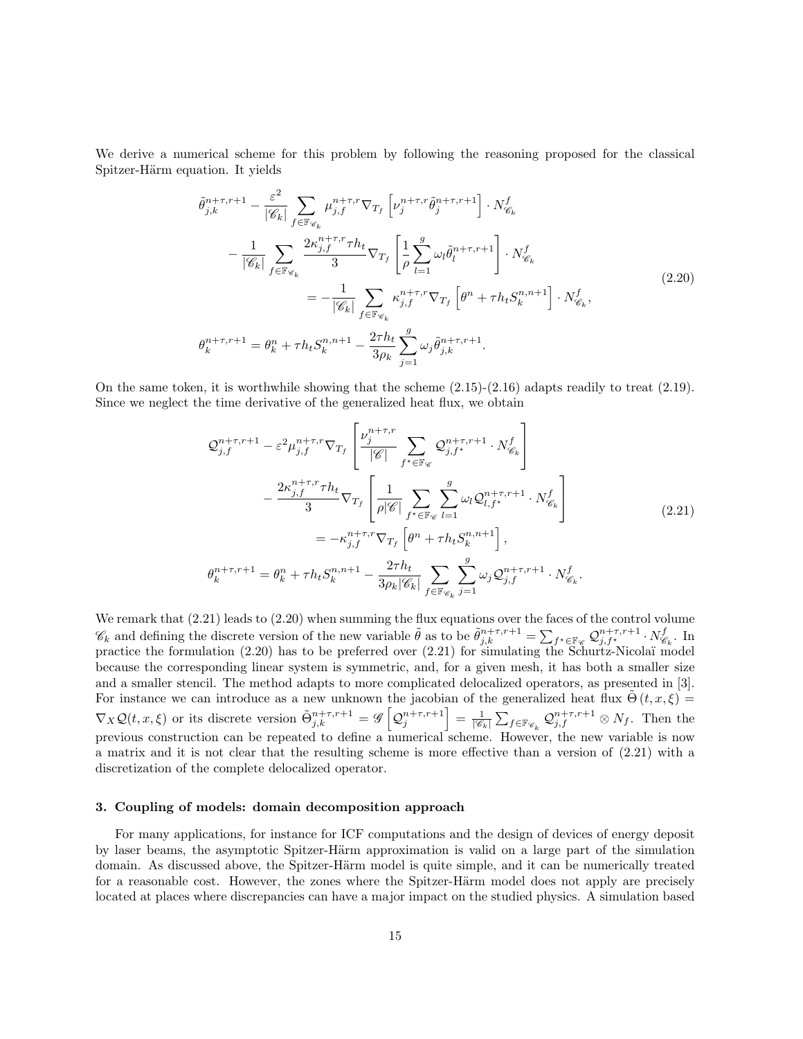We derive a numerical scheme for this problem by following the reasoning proposed for the classical Spitzer-Härm equation. It yields

$$
\tilde{\theta}_{j,k}^{n+\tau,r+1} - \frac{\varepsilon^2}{|\mathscr{C}_k|} \sum_{f \in \mathbb{F}_{\mathscr{C}_k}} \mu_{j,f}^{n+\tau,r} \nabla_{T_f} \left[ \nu_j^{n+\tau,r} \tilde{\theta}_j^{n+\tau,r+1} \right] \cdot N_{\mathscr{C}_k}^f
$$
\n
$$
- \frac{1}{|\mathscr{C}_k|} \sum_{f \in \mathbb{F}_{\mathscr{C}_k}} \frac{2\kappa_{j,f}^{n+\tau,r} \tau h_t}{3} \nabla_{T_f} \left[ \frac{1}{\rho} \sum_{l=1}^g \omega_l \tilde{\theta}_l^{n+\tau,r+1} \right] \cdot N_{\mathscr{C}_k}^f
$$
\n
$$
= -\frac{1}{|\mathscr{C}_k|} \sum_{f \in \mathbb{F}_{\mathscr{C}_k}} \kappa_{j,f}^{n+\tau,r} \nabla_{T_f} \left[ \theta^n + \tau h_t S_k^{n,n+1} \right] \cdot N_{\mathscr{C}_k}^f,
$$
\n
$$
\theta_k^{n+\tau,r+1} = \theta_k^n + \tau h_t S_k^{n,n+1} - \frac{2\tau h_t}{3\rho_k} \sum_{j=1}^g \omega_j \tilde{\theta}_{j,k}^{n+\tau,r+1}.
$$
\n(2.20)

On the same token, it is worthwhile showing that the scheme  $(2.15)-(2.16)$  adapts readily to treat  $(2.19)$ . Since we neglect the time derivative of the generalized heat flux, we obtain

$$
\mathcal{Q}_{j,f}^{n+\tau,r+1} - \varepsilon^2 \mu_{j,f}^{n+\tau,r} \nabla_{T_f} \left[ \frac{\nu_j^{n+\tau,r}}{|\mathcal{C}|} \sum_{f^* \in \mathbb{F}_{\mathcal{C}}} \mathcal{Q}_{j,f^*}^{n+\tau,r+1} \cdot N_{\mathcal{C}_k}^f \right] \n- \frac{2\kappa_{j,f}^{n+\tau,r} \tau h_t}{3} \nabla_{T_f} \left[ \frac{1}{\rho |\mathcal{C}|} \sum_{f^* \in \mathbb{F}_{\mathcal{C}}} \sum_{l=1}^g \omega_l \mathcal{Q}_{l,f^*}^{n+\tau,r+1} \cdot N_{\mathcal{C}_k}^f \right] \n= -\kappa_{j,f}^{n+\tau,r} \nabla_{T_f} \left[ \theta^n + \tau h_t S_k^{n,n+1} \right], \n\theta_k^{n+\tau,r+1} = \theta_k^n + \tau h_t S_k^{n,n+1} - \frac{2\tau h_t}{3\rho_k |\mathcal{C}_k|} \sum_{f \in \mathbb{F}_{\mathcal{C}_k}} \sum_{j=1}^g \omega_j \mathcal{Q}_{j,f}^{n+\tau,r+1} \cdot N_{\mathcal{C}_k}^f.
$$
\n(2.21)

We remark that  $(2.21)$  leads to  $(2.20)$  when summing the flux equations over the faces of the control volume  $\mathscr{C}_k$  and defining the discrete version of the new variable  $\tilde{\theta}$  as to be  $\tilde{\theta}^{n+\tau,r+1}_{j,k} = \sum_{f^* \in \mathbb{F}_{\mathscr{C}}} \mathcal{Q}^{n+\tau,r+1}_{j,f^*_{j,k}} \cdot N^f_{\mathscr{C}}$  $\mathscr{C}_k$ . In practice the formulation  $(2.20)$  has to be preferred over  $(2.21)$  for simulating the Schurtz-Nicolaï model because the corresponding linear system is symmetric, and, for a given mesh, it has both a smaller size and a smaller stencil. The method adapts to more complicated delocalized operators, as presented in [3]. For instance we can introduce as a new unknown the jacobian of the generalized heat flux  $\tilde{\Theta}(t, x, \xi)$  $\nabla_X \mathcal{Q}(t,x,\xi)$  or its discrete version  $\tilde{\Theta}_{j,k}^{n+\tau,r+1} = \mathscr{G}\left[\mathcal{Q}_j^{n+\tau,r+1}\right] = \frac{1}{|\mathscr{C}_k|} \sum_{f \in \mathbb{F}_{\mathscr{C}_k}} \mathcal{Q}_{j,f}^{n+\tau,r+1} \otimes N_f$ . Then the previous construction can be repeated to define a numerical scheme. However, the new variable is now a matrix and it is not clear that the resulting scheme is more effective than a version of (2.21) with a discretization of the complete delocalized operator.

### 3. Coupling of models: domain decomposition approach

For many applications, for instance for ICF computations and the design of devices of energy deposit by laser beams, the asymptotic Spitzer-Härm approximation is valid on a large part of the simulation domain. As discussed above, the Spitzer-Härm model is quite simple, and it can be numerically treated for a reasonable cost. However, the zones where the Spitzer-Härm model does not apply are precisely located at places where discrepancies can have a major impact on the studied physics. A simulation based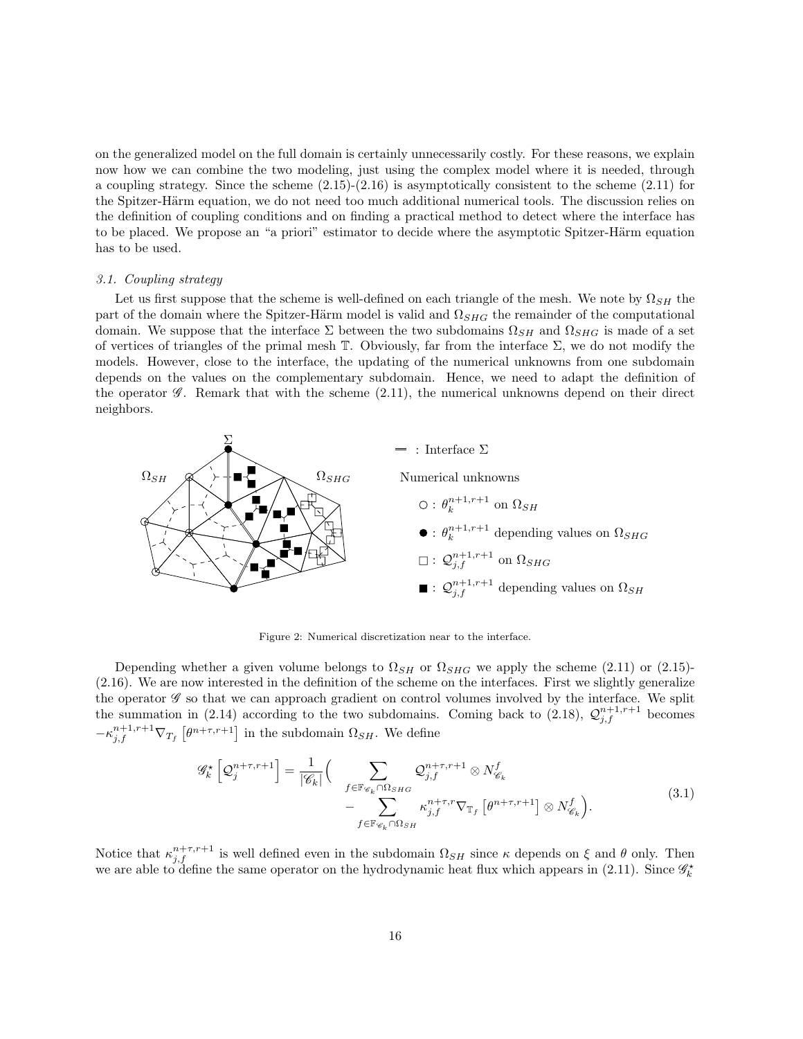on the generalized model on the full domain is certainly unnecessarily costly. For these reasons, we explain now how we can combine the two modeling, just using the complex model where it is needed, through a coupling strategy. Since the scheme  $(2.15)-(2.16)$  is asymptotically consistent to the scheme  $(2.11)$  for the Spitzer-Härm equation, we do not need too much additional numerical tools. The discussion relies on the definition of coupling conditions and on finding a practical method to detect where the interface has to be placed. We propose an "a priori" estimator to decide where the asymptotic Spitzer-Härm equation has to be used.

#### 3.1. Coupling strategy

Let us first suppose that the scheme is well-defined on each triangle of the mesh. We note by  $\Omega_{SH}$  the part of the domain where the Spitzer-Härm model is valid and  $\Omega_{SHG}$  the remainder of the computational domain. We suppose that the interface  $\Sigma$  between the two subdomains  $\Omega_{SH}$  and  $\Omega_{SHG}$  is made of a set of vertices of triangles of the primal mesh  $\mathbb T$ . Obviously, far from the interface  $\Sigma$ , we do not modify the models. However, close to the interface, the updating of the numerical unknowns from one subdomain depends on the values on the complementary subdomain. Hence, we need to adapt the definition of the operator  $\mathscr G$ . Remark that with the scheme  $(2.11)$ , the numerical unknowns depend on their direct neighbors.



Figure 2: Numerical discretization near to the interface.

Depending whether a given volume belongs to  $\Omega_{SH}$  or  $\Omega_{SHG}$  we apply the scheme (2.11) or (2.15)-(2.16). We are now interested in the definition of the scheme on the interfaces. First we slightly generalize the operator  $\mathscr G$  so that we can approach gradient on control volumes involved by the interface. We split the summation in (2.14) according to the two subdomains. Coming back to (2.18),  $\mathcal{Q}_{j,f}^{n+1,r+1}$  becomes  $-\kappa^{n+1,r+1}_{j,f} \nabla_{T_f} \left[ \theta^{n+\tau,r+1} \right]$  in the subdomain  $\Omega_{SH}$ . We define

$$
\mathcal{G}_{k}^{\star}\left[\mathcal{Q}_{j}^{n+\tau,r+1}\right] = \frac{1}{|\mathscr{C}_{k}|} \Big( \sum_{\substack{f \in \mathbb{F}_{\mathscr{C}_{k}} \cap \Omega_{SHG} \\ \sum_{f \in \mathbb{F}_{\mathscr{C}_{k}} \cap \Omega_{SH}} \kappa_{j,f}^{n+\tau,r} \nabla_{\mathbb{T}_{f}}\left[\theta^{n+\tau,r+1}\right] \otimes N_{\mathscr{C}_{k}}^{f}\Big). \tag{3.1}
$$

Notice that  $\kappa_{j,f}^{n+\tau,r+1}$  is well defined even in the subdomain  $\Omega_{SH}$  since  $\kappa$  depends on  $\xi$  and  $\theta$  only. Then we are able to define the same operator on the hydrodynamic heat flux which appears in (2.11). Since  $\mathscr{G}_k^{\star}$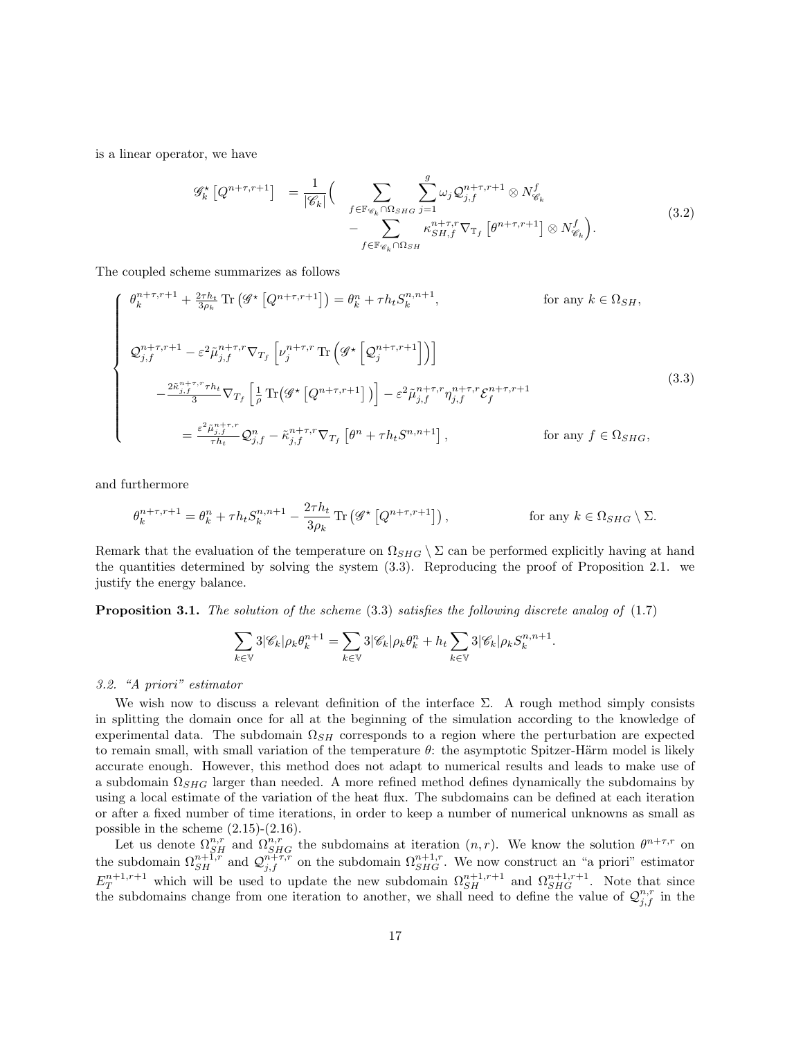is a linear operator, we have

$$
\mathcal{G}_{k}^{\star} \left[ Q^{n+\tau,r+1} \right] = \frac{1}{|\mathscr{C}_{k}|} \Big( \sum_{\substack{f \in \mathbb{F}_{\mathscr{C}_{k}} \cap \Omega_{SHG} \\ f \in \mathbb{F}_{\mathscr{C}_{k}} \cap \Omega_{SH}}} \sum_{j=1}^{g} \omega_{j} \mathcal{Q}_{j,f}^{n+\tau,r+1} \otimes N_{\mathscr{C}_{k}}^{f} - \sum_{f \in \mathbb{F}_{\mathscr{C}_{k}} \cap \Omega_{SH}} \omega_{j} \mathcal{Q}_{j,f}^{n+\tau,r+1} \otimes N_{\mathscr{C}_{k}}^{f} \Big). \tag{3.2}
$$

The coupled scheme summarizes as follows

$$
\begin{cases}\n\theta_k^{n+\tau,r+1} + \frac{2\tau h_t}{3\rho_k} \text{Tr}\left(\mathcal{G}^{\star}\left[Q^{n+\tau,r+1}\right]\right) = \theta_k^n + \tau h_t S_k^{n,n+1}, & \text{for any } k \in \Omega_{SH}, \\
\mathcal{Q}_{j,f}^{n+\tau,r+1} - \varepsilon^2 \tilde{\mu}_{j,f}^{n+\tau,r} \nabla_{T_f} \left[\nu_j^{n+\tau,r} \text{Tr}\left(\mathcal{G}^{\star}\left[Q_j^{n+\tau,r+1}\right]\right)\right] \\
-\frac{2\tilde{\kappa}_{j,f}^{n+\tau,r} \tau h_t}{3} \nabla_{T_f} \left[\frac{1}{\rho} \text{Tr}\left(\mathcal{G}^{\star}\left[Q^{n+\tau,r+1}\right]\right)\right] - \varepsilon^2 \tilde{\mu}_{j,f}^{n+\tau,r} \eta_{j,f}^{n+\tau,r} \mathcal{E}_f^{n+\tau,r+1} \\
= \frac{\varepsilon^2 \tilde{\mu}_{j,f}^{n+\tau,r}}{\tau h_t} \mathcal{Q}_{j,f}^n - \tilde{\kappa}_{j,f}^{n+\tau,r} \nabla_{T_f} \left[\theta^n + \tau h_t S^{n,n+1}\right], & \text{for any } f \in \Omega_{SHG},\n\end{cases}
$$
\n(3.3)

and furthermore

$$
\theta_k^{n+\tau,r+1} = \theta_k^n + \tau h_t S_k^{n,n+1} - \frac{2\tau h_t}{3\rho_k} \operatorname{Tr} \left( \mathcal{G}^\star \left[ Q^{n+\tau,r+1} \right] \right), \qquad \text{for any } k \in \Omega_{SHG} \setminus \Sigma.
$$

Remark that the evaluation of the temperature on  $\Omega_{SHG} \setminus \Sigma$  can be performed explicitly having at hand the quantities determined by solving the system (3.3). Reproducing the proof of Proposition 2.1. we justify the energy balance.

**Proposition 3.1.** The solution of the scheme  $(3.3)$  satisfies the following discrete analog of  $(1.7)$ 

$$
\sum_{k\in\mathbb{V}}3|\mathscr{C}_k|\rho_k\theta_k^{n+1}=\sum_{k\in\mathbb{V}}3|\mathscr{C}_k|\rho_k\theta_k^{n}+h_t\sum_{k\in\mathbb{V}}3|\mathscr{C}_k|\rho_kS_k^{n,n+1}.
$$

### 3.2. "A priori" estimator

We wish now to discuss a relevant definition of the interface  $\Sigma$ . A rough method simply consists in splitting the domain once for all at the beginning of the simulation according to the knowledge of experimental data. The subdomain  $\Omega_{SH}$  corresponds to a region where the perturbation are expected to remain small, with small variation of the temperature  $\theta$ : the asymptotic Spitzer-Härm model is likely accurate enough. However, this method does not adapt to numerical results and leads to make use of a subdomain  $\Omega_{SHG}$  larger than needed. A more refined method defines dynamically the subdomains by using a local estimate of the variation of the heat flux. The subdomains can be defined at each iteration or after a fixed number of time iterations, in order to keep a number of numerical unknowns as small as possible in the scheme  $(2.15)-(2.16)$ .

Let us denote  $\Omega_{SH}^{n,r}$  and  $\Omega_{SHG}^{n,r}$  the subdomains at iteration  $(n,r)$ . We know the solution  $\theta^{n+\tau,r}$  on the subdomain  $\Omega_{SH}^{n+1,r}$  and  $\mathcal{Q}_{j,f}^{n+\tau,r}$  on the subdomain  $\Omega_{SHG}^{n+1,r}$ . We now construct an "a priori" estimator  $E_T^{n+1,r+1}$  which will be used to update the new subdomain  $\Omega_{SH}^{n+1,r+1}$  and  $\Omega_{SHG}^{n+1,r+1}$ . Note that since the subdomains change from one iteration to another, we shall need to define the value of  $\mathcal{Q}_{j,f}^{n,r}$  in the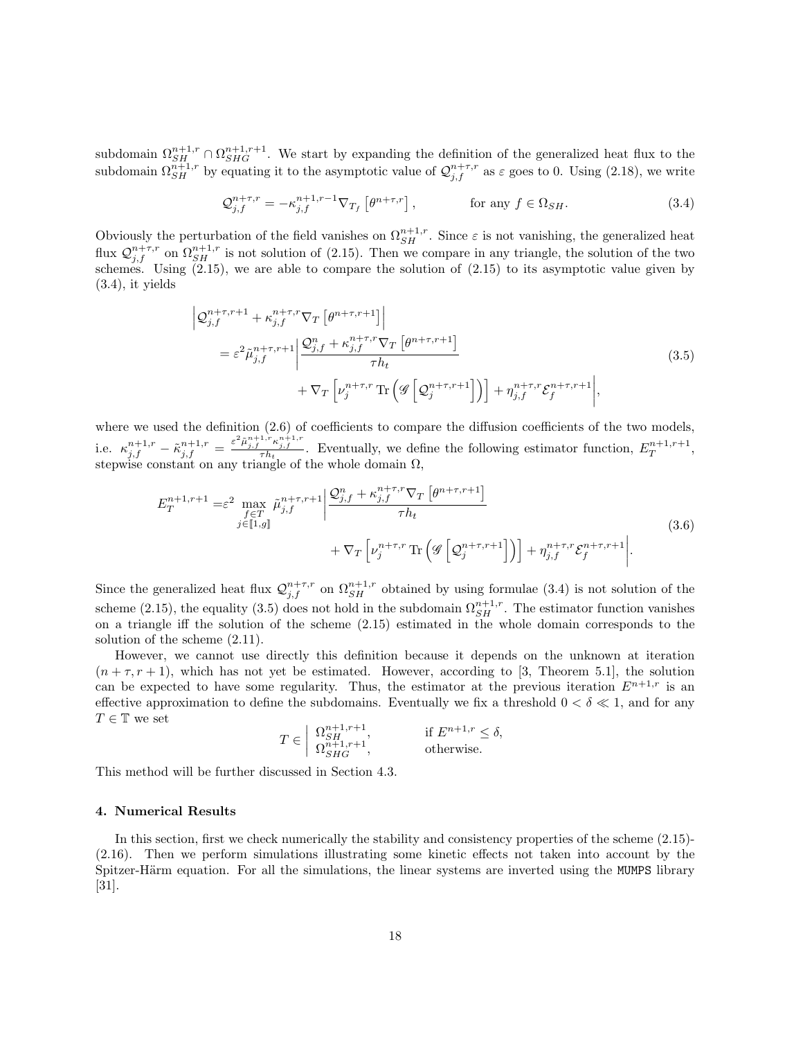subdomain  $\Omega_{SH}^{n+1,r} \cap \Omega_{SHG}^{n+1,r+1}$ . We start by expanding the definition of the generalized heat flux to the subdomain  $\Omega_{SH}^{n+1,r}$  by equating it to the asymptotic value of  $\mathcal{Q}_{j,f}^{n+\tau,r}$  as  $\varepsilon$  goes to 0. Using (2.18), we write

$$
\mathcal{Q}_{j,f}^{n+\tau,r} = -\kappa_{j,f}^{n+1,r-1} \nabla_{T_f} \left[ \theta^{n+\tau,r} \right], \qquad \text{for any } f \in \Omega_{SH}. \tag{3.4}
$$

Obviously the perturbation of the field vanishes on  $\Omega_{SH}^{n+1,r}$ . Since  $\varepsilon$  is not vanishing, the generalized heat flux  $\mathcal{Q}_{j,f}^{n+\tau,r}$  on  $\Omega_{SH}^{n+1,r}$  is not solution of (2.15). Then we compare in any triangle, the solution of the two schemes. Using (2.15), we are able to compare the solution of (2.15) to its asymptotic value given by  $(3.4)$ , it yields

$$
\left| \mathcal{Q}_{j,f}^{n+\tau,r+1} + \kappa_{j,f}^{n+\tau,r} \nabla_T \left[ \theta^{n+\tau,r+1} \right] \right|
$$
\n
$$
= \varepsilon^2 \tilde{\mu}_{j,f}^{n+\tau,r+1} \left| \frac{\mathcal{Q}_{j,f}^n + \kappa_{j,f}^{n+\tau,r} \nabla_T \left[ \theta^{n+\tau,r+1} \right]}{\tau h_t} + \nabla_T \left[ \nu_j^{n+\tau,r} \operatorname{Tr} \left( \mathcal{G} \left[ \mathcal{Q}_j^{n+\tau,r+1} \right] \right) \right] + \eta_{j,f}^{n+\tau,r} \mathcal{E}_f^{n+\tau,r+1} \right|, \tag{3.5}
$$

where we used the definition  $(2.6)$  of coefficients to compare the diffusion coefficients of the two models, i.e.  $\kappa_{j,f}^{n+1,r} - \tilde{\kappa}_{j,f}^{n+1,r} = \frac{\varepsilon^2 \tilde{\mu}_{j,f}^{n+1,r} \kappa_{j,f}^{n+1,r}}{\tau h_t}$ . Eventually, we define the following estimator function,  $E_T^{n+1,r+1}$ , stepwise constant on any triangle of the whole domain  $\Omega$ ,

$$
E_T^{n+1,r+1} = \varepsilon^2 \max_{\substack{f \in T \\ j \in [1,g]}} \tilde{\mu}_{j,f}^{n+\tau,r+1} \left| \frac{\mathcal{Q}_{j,f}^n + \kappa_{j,f}^{n+\tau,r} \nabla_T \left[ \theta^{n+\tau,r+1} \right]}{\tau h_t} \right|
$$
  
+  $\nabla_T \left[ \nu_j^{n+\tau,r} \operatorname{Tr} \left( \mathcal{G} \left[ \mathcal{Q}_j^{n+\tau,r+1} \right] \right) \right] + \eta_{j,f}^{n+\tau,r} \mathcal{E}_f^{n+\tau,r+1} \left| . \right. \tag{3.6}$ 

Since the generalized heat flux  $\mathcal{Q}_{j,f}^{n+\tau,r}$  on  $\Omega_{SH}^{n+1,r}$  obtained by using formulae (3.4) is not solution of the scheme (2.15), the equality (3.5) does not hold in the subdomain  $\Omega_{SH}^{n+1,r}$ . The estimator function vanishes on a triangle iff the solution of the scheme (2.15) estimated in the whole domain corresponds to the solution of the scheme (2.11).

However, we cannot use directly this definition because it depends on the unknown at iteration  $(n + \tau, r + 1)$ , which has not yet be estimated. However, according to [3, Theorem 5.1], the solution can be expected to have some regularity. Thus, the estimator at the previous iteration  $E^{n+1,r}$  is an effective approximation to define the subdomains. Eventually we fix a threshold  $0 < \delta \ll 1$ , and for any  $T\in\mathbb{T}$  we set

$$
T \in \begin{array}{l} \left\{ \begin{array}{l} \Omega_{SH}^{n+1,r+1}, \\ \Omega_{SHG}^{n+1,r+1}, \end{array} \right. \qquad \text{if } E^{n+1,r} \leq \delta, \\ \Omega_{SHG}^{n+1,r+1}, \end{array} \end{array}
$$

This method will be further discussed in Section 4.3.

### 4. Numerical Results

In this section, first we check numerically the stability and consistency properties of the scheme (2.15)- (2.16). Then we perform simulations illustrating some kinetic effects not taken into account by the Spitzer-Härm equation. For all the simulations, the linear systems are inverted using the MUMPS library [31].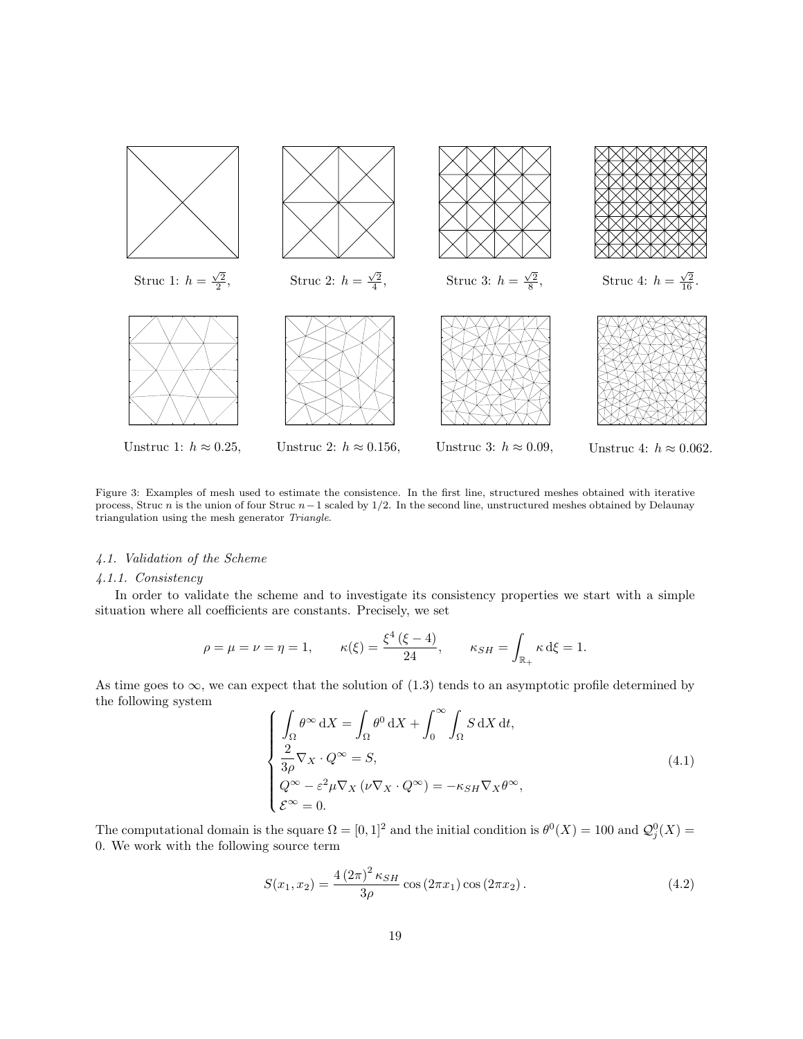

Figure 3: Examples of mesh used to estimate the consistence. In the first line, structured meshes obtained with iterative process, Struc n is the union of four Struc  $n-1$  scaled by  $1/2$ . In the second line, unstructured meshes obtained by Delaunay triangulation using the mesh generator Triangle.

# 4.1. Validation of the Scheme

### 4.1.1. Consistency

In order to validate the scheme and to investigate its consistency properties we start with a simple situation where all coefficients are constants. Precisely, we set

$$
\rho = \mu = \nu = \eta = 1,
$$
\n $\kappa(\xi) = \frac{\xi^4 (\xi - 4)}{24},$ \n $\kappa_{SH} = \int_{\mathbb{R}_+} \kappa \, d\xi = 1.$ 

As time goes to  $\infty$ , we can expect that the solution of (1.3) tends to an asymptotic profile determined by the following system

$$
\begin{cases}\n\int_{\Omega} \theta^{\infty} \,dX = \int_{\Omega} \theta^0 \,dX + \int_0^{\infty} \int_{\Omega} S \,dX \,dt, \\
\frac{2}{3\rho} \nabla_X \cdot Q^{\infty} = S, \\
Q^{\infty} - \varepsilon^2 \mu \nabla_X (\nu \nabla_X \cdot Q^{\infty}) = -\kappa_{SH} \nabla_X \theta^{\infty}, \\
\mathcal{E}^{\infty} = 0.\n\end{cases} \tag{4.1}
$$

The computational domain is the square  $\Omega = [0,1]^2$  and the initial condition is  $\theta^0(X) = 100$  and  $\mathcal{Q}^0_j(X) = 0$ 0. We work with the following source term

$$
S(x_1, x_2) = \frac{4 (2\pi)^2 \kappa_{SH}}{3\rho} \cos(2\pi x_1) \cos(2\pi x_2).
$$
 (4.2)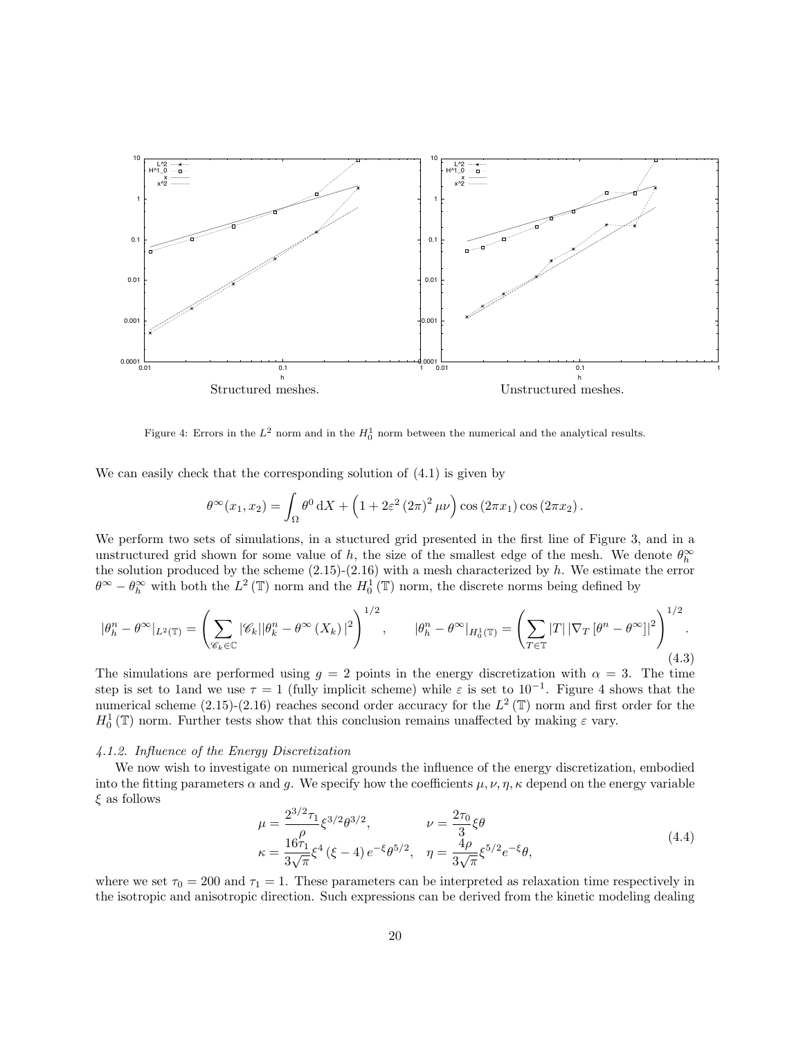

Figure 4: Errors in the  $L^2$  norm and in the  $H_0^1$  norm between the numerical and the analytical results.

We can easily check that the corresponding solution of (4.1) is given by

$$
\theta^{\infty}(x_1, x_2) = \int_{\Omega} \theta^0 dX + \left(1 + 2\varepsilon^2 (2\pi)^2 \mu\nu\right) \cos(2\pi x_1) \cos(2\pi x_2).
$$

We perform two sets of simulations, in a stuctured grid presented in the first line of Figure 3, and in a unstructured grid shown for some value of h, the size of the smallest edge of the mesh. We denote  $\theta_h^{\infty}$ the solution produced by the scheme  $(2.15)-(2.16)$  with a mesh characterized by h. We estimate the error  $\theta^{\infty} - \theta_h^{\infty}$  with both the  $L^2(\mathbb{T})$  norm and the  $H_0^1(\mathbb{T})$  norm, the discrete norms being defined by

$$
|\theta_h^n - \theta^\infty|_{L^2(\mathbb{T})} = \left(\sum_{\mathscr{C}_k \in \mathbb{C}} |\mathscr{C}_k| |\theta_k^n - \theta^\infty(X_k)|^2\right)^{1/2}, \qquad |\theta_h^n - \theta^\infty|_{H_0^1(\mathbb{T})} = \left(\sum_{T \in \mathbb{T}} |T| |\nabla_T[\theta^n - \theta^\infty]|^2\right)^{1/2}.
$$
\n(4.3)

The simulations are performed using  $g = 2$  points in the energy discretization with  $\alpha = 3$ . The time step is set to 1and we use  $\tau = 1$  (fully implicit scheme) while  $\varepsilon$  is set to 10<sup>-1</sup>. Figure 4 shows that the numerical scheme (2.15)-(2.16) reaches second order accuracy for the  $L^2(\mathbb{T})$  norm and first order for the  $H_0^1(\mathbb{T})$  norm. Further tests show that this conclusion remains unaffected by making  $\varepsilon$  vary.

### 4.1.2. Influence of the Energy Discretization

We now wish to investigate on numerical grounds the influence of the energy discretization, embodied into the fitting parameters  $\alpha$  and g. We specify how the coefficients  $\mu$ ,  $\nu$ ,  $\eta$ ,  $\kappa$  depend on the energy variable  $\xi$  as follows

$$
\mu = \frac{2^{3/2} \tau_1}{\rho} \xi^{3/2} \theta^{3/2}, \qquad \nu = \frac{2\tau_0}{3} \xi \theta
$$
\n
$$
\kappa = \frac{16\tau_1}{3\sqrt{\pi}} \xi^4 (\xi - 4) e^{-\xi} \theta^{5/2}, \quad \eta = \frac{4\rho}{3\sqrt{\pi}} \xi^{5/2} e^{-\xi} \theta,
$$
\n(4.4)

where we set  $\tau_0 = 200$  and  $\tau_1 = 1$ . These parameters can be interpreted as relaxation time respectively in the isotropic and anisotropic direction. Such expressions can be derived from the kinetic modeling dealing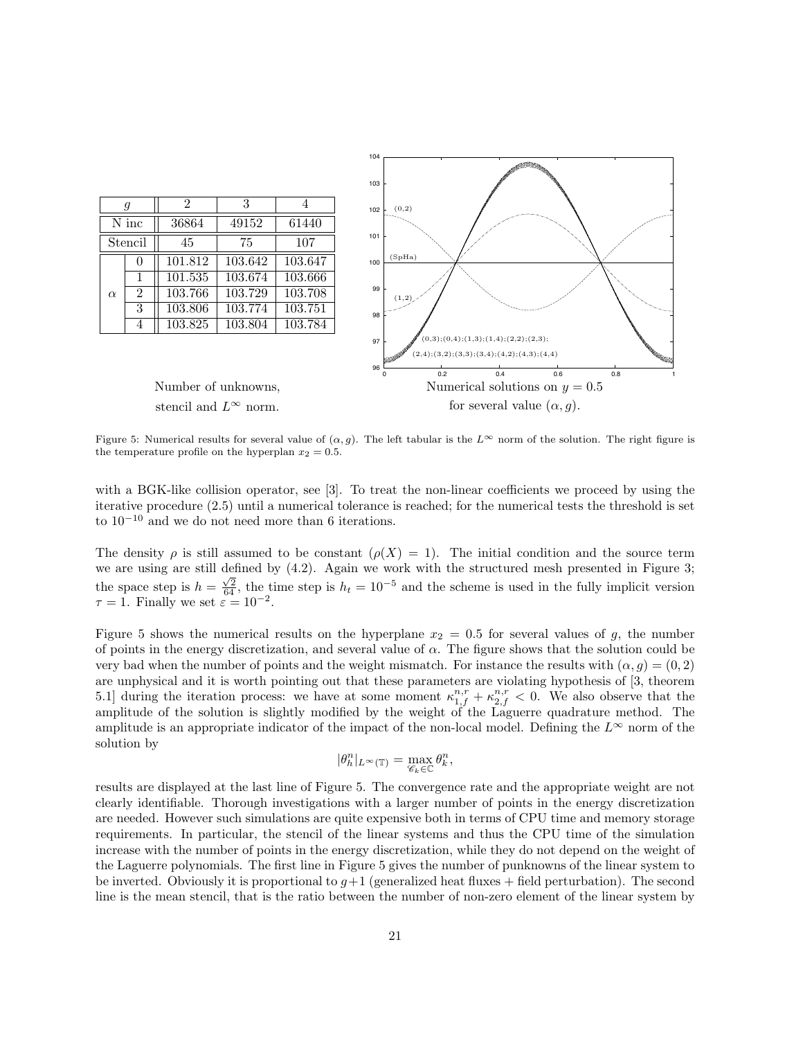

Figure 5: Numerical results for several value of  $(\alpha, g)$ . The left tabular is the  $L^{\infty}$  norm of the solution. The right figure is the temperature profile on the hyperplan  $x_2 = 0.5$ .

with a BGK-like collision operator, see [3]. To treat the non-linear coefficients we proceed by using the iterative procedure (2.5) until a numerical tolerance is reached; for the numerical tests the threshold is set to 10<sup>−</sup><sup>10</sup> and we do not need more than 6 iterations.

The density  $\rho$  is still assumed to be constant  $(\rho(X) = 1)$ . The initial condition and the source term we are using are still defined by  $(4.2)$ . Again we work with the structured mesh presented in Figure 3; the space step is  $h = \frac{\sqrt{2}}{64}$ , the time step is  $h_t = 10^{-5}$  and the scheme is used in the fully implicit version  $\tau = 1$ . Finally we set  $\varepsilon = 10^{-2}$ .

Figure 5 shows the numerical results on the hyperplane  $x_2 = 0.5$  for several values of g, the number of points in the energy discretization, and several value of  $\alpha$ . The figure shows that the solution could be very bad when the number of points and the weight mismatch. For instance the results with  $(\alpha, q) = (0, 2)$ are unphysical and it is worth pointing out that these parameters are violating hypothesis of [3, theorem 5.1] during the iteration process: we have at some moment  $\kappa_{1,f}^{n,r} + \kappa_{2,f}^{n,r} < 0$ . We also observe that the amplitude of the solution is slightly modified by the weight of the Laguerre quadrature method. The amplitude is an appropriate indicator of the impact of the non-local model. Defining the  $L^{\infty}$  norm of the solution by

$$
|\theta_h^n|_{L^\infty(\mathbb{T})}=\max_{\mathscr{C}_k\in\mathbb{C}}\theta_k^n,
$$

results are displayed at the last line of Figure 5. The convergence rate and the appropriate weight are not clearly identifiable. Thorough investigations with a larger number of points in the energy discretization are needed. However such simulations are quite expensive both in terms of CPU time and memory storage requirements. In particular, the stencil of the linear systems and thus the CPU time of the simulation increase with the number of points in the energy discretization, while they do not depend on the weight of the Laguerre polynomials. The first line in Figure 5 gives the number of punknowns of the linear system to be inverted. Obviously it is proportional to  $g+1$  (generalized heat fluxes + field perturbation). The second line is the mean stencil, that is the ratio between the number of non-zero element of the linear system by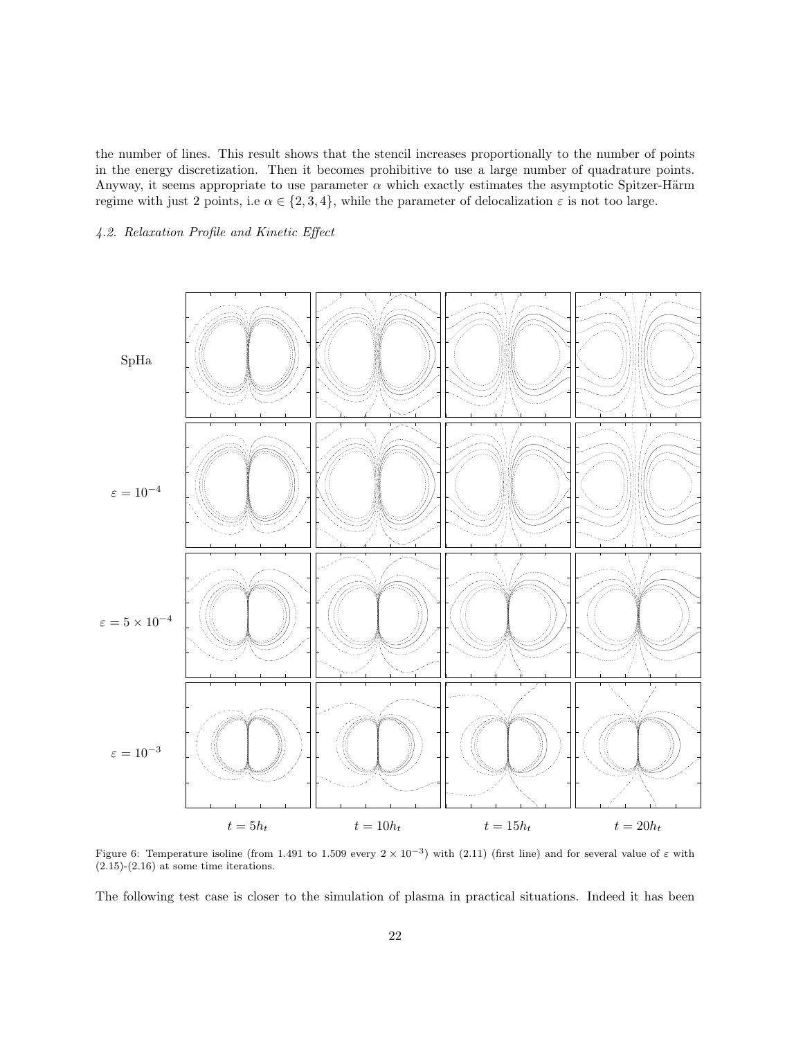the number of lines. This result shows that the stencil increases proportionally to the number of points in the energy discretization. Then it becomes prohibitive to use a large number of quadrature points. Anyway, it seems appropriate to use parameter  $\alpha$  which exactly estimates the asymptotic Spitzer-Härm regime with just 2 points, i.e  $\alpha \in \{2,3,4\}$ , while the parameter of delocalization  $\varepsilon$  is not too large.

# 4.2. Relaxation Profile and Kinetic Effect



Figure 6: Temperature isoline (from 1.491 to 1.509 every  $2 \times 10^{-3}$ ) with (2.11) (first line) and for several value of  $\varepsilon$  with  $(2.15)-(2.16)$  at some time iterations.

The following test case is closer to the simulation of plasma in practical situations. Indeed it has been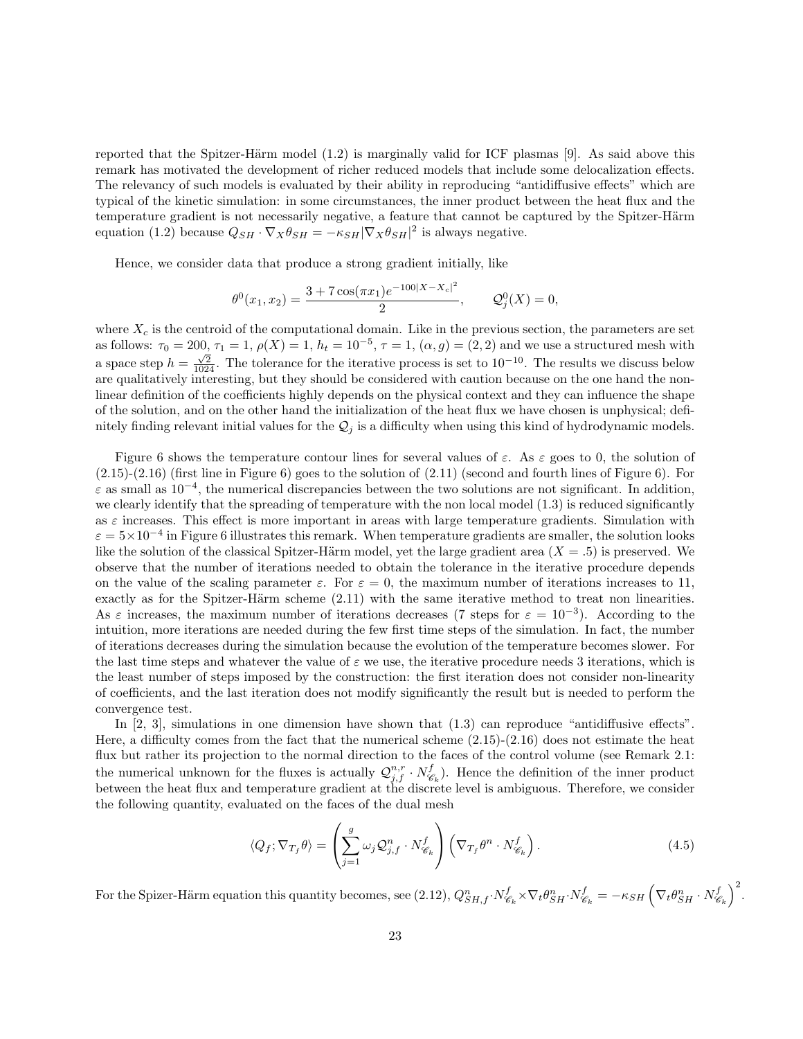reported that the Spitzer-Härm model  $(1.2)$  is marginally valid for ICF plasmas [9]. As said above this remark has motivated the development of richer reduced models that include some delocalization effects. The relevancy of such models is evaluated by their ability in reproducing "antidiffusive effects" which are typical of the kinetic simulation: in some circumstances, the inner product between the heat flux and the temperature gradient is not necessarily negative, a feature that cannot be captured by the Spitzer-Härm equation (1.2) because  $Q_{SH} \cdot \nabla_X \theta_{SH} = -\kappa_{SH} |\nabla_X \theta_{SH}|^2$  is always negative.

Hence, we consider data that produce a strong gradient initially, like

$$
\theta^{0}(x_1, x_2) = \frac{3 + 7\cos(\pi x_1)e^{-100|X - X_c|^2}}{2}, \qquad \mathcal{Q}_{j}^{0}(X) = 0,
$$

where  $X_c$  is the centroid of the computational domain. Like in the previous section, the parameters are set as follows:  $\tau_0 = 200$ ,  $\tau_1 = 1$ ,  $\rho(X) = 1$ ,  $h_t = 10^{-5}$ ,  $\tau = 1$ ,  $(\alpha, g) = (2, 2)$  and we use a structured mesh with as follows.  $y_0 = 200$ ,  $y_1 = 1$ ,  $p_1x_1 = 1$ ,  $n_t = 10$ ,  $y_1 = 1$ ,  $\left(\alpha, g\right) = \left(2, 2\right)$  and we discuss a structured from which a space step  $h = \frac{\sqrt{2}}{1024}$ . The tolerance for the iterative process is set to  $10^{-10}$ . are qualitatively interesting, but they should be considered with caution because on the one hand the nonlinear definition of the coefficients highly depends on the physical context and they can influence the shape of the solution, and on the other hand the initialization of the heat flux we have chosen is unphysical; definitely finding relevant initial values for the  $\mathcal{Q}_j$  is a difficulty when using this kind of hydrodynamic models.

Figure 6 shows the temperature contour lines for several values of  $\varepsilon$ . As  $\varepsilon$  goes to 0, the solution of (2.15)-(2.16) (first line in Figure 6) goes to the solution of (2.11) (second and fourth lines of Figure 6). For  $\varepsilon$  as small as  $10^{-4}$ , the numerical discrepancies between the two solutions are not significant. In addition, we clearly identify that the spreading of temperature with the non local model (1.3) is reduced significantly as  $\varepsilon$  increases. This effect is more important in areas with large temperature gradients. Simulation with  $\varepsilon = 5 \times 10^{-4}$  in Figure 6 illustrates this remark. When temperature gradients are smaller, the solution looks like the solution of the classical Spitzer-Härm model, yet the large gradient area  $(X = .5)$  is preserved. We observe that the number of iterations needed to obtain the tolerance in the iterative procedure depends on the value of the scaling parameter  $\varepsilon$ . For  $\varepsilon = 0$ , the maximum number of iterations increases to 11, exactly as for the Spitzer-Härm scheme  $(2.11)$  with the same iterative method to treat non linearities. As  $\varepsilon$  increases, the maximum number of iterations decreases (7 steps for  $\varepsilon = 10^{-3}$ ). According to the intuition, more iterations are needed during the few first time steps of the simulation. In fact, the number of iterations decreases during the simulation because the evolution of the temperature becomes slower. For the last time steps and whatever the value of  $\varepsilon$  we use, the iterative procedure needs 3 iterations, which is the least number of steps imposed by the construction: the first iteration does not consider non-linearity of coefficients, and the last iteration does not modify significantly the result but is needed to perform the convergence test.

In [2, 3], simulations in one dimension have shown that (1.3) can reproduce "antidiffusive effects". Here, a difficulty comes from the fact that the numerical scheme  $(2.15)-(2.16)$  does not estimate the heat flux but rather its projection to the normal direction to the faces of the control volume (see Remark 2.1: the numerical unknown for the fluxes is actually  $\mathcal{Q}_{j,f}^{n,r} \cdot N_{\mathscr{C}}^f$  $\mathscr{C}_k$ ). Hence the definition of the inner product between the heat flux and temperature gradient at the discrete level is ambiguous. Therefore, we consider the following quantity, evaluated on the faces of the dual mesh

$$
\langle Q_f; \nabla_{T_f} \theta \rangle = \left( \sum_{j=1}^g \omega_j Q_{j,f}^n \cdot N_{\mathscr{C}_k}^f \right) \left( \nabla_{T_f} \theta^n \cdot N_{\mathscr{C}_k}^f \right). \tag{4.5}
$$

For the Spizer-Härm equation this quantity becomes, see (2.12),  $Q_{SH,f}^{n} \cdot N_{\mathscr{C}}^{f}$  $\mathcal{C}^f_{\mathscr{C}_k}\!\times\!\nabla_t\theta_{SH}^n\!\cdot\! N^f_{\mathscr{C}_k}$  $\epsilon_{\mathscr{C}_k}^f = -\kappa_{SH}\left(\nabla_t\theta_{SH}^n\cdot N_{\mathscr{C}_k}^f\right)$  $\begin{pmatrix} f \\ \mathscr{C}_k \end{pmatrix}^2$ .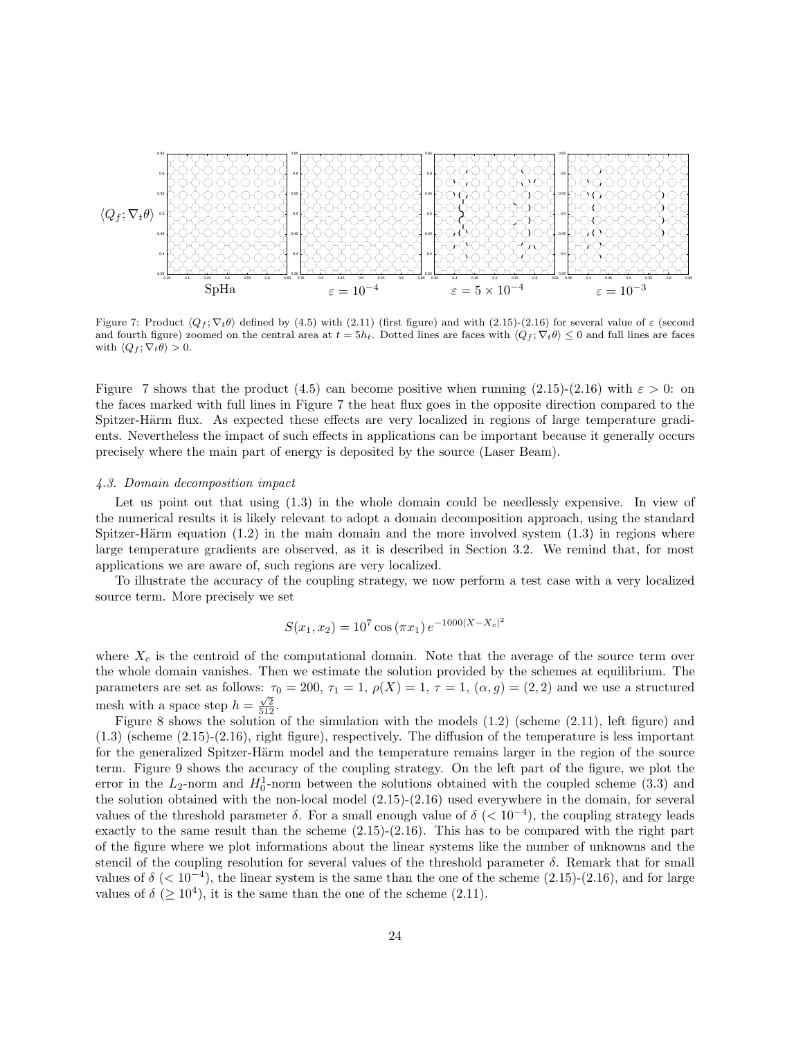

Figure 7: Product  $\langle Q_f, \nabla_t \theta \rangle$  defined by (4.5) with (2.11) (first figure) and with (2.15)-(2.16) for several value of  $\varepsilon$  (second and fourth figure) zoomed on the central area at  $t = 5h_t$ . Dotted lines are faces with  $\langle Q_f, \nabla_t \theta \rangle \leq 0$  and full lines are faces with  $\langle Q_f ; \nabla_t \theta \rangle > 0$ .

Figure 7 shows that the product (4.5) can become positive when running (2.15)-(2.16) with  $\varepsilon > 0$ : on the faces marked with full lines in Figure 7 the heat flux goes in the opposite direction compared to the Spitzer-Härm flux. As expected these effects are very localized in regions of large temperature gradients. Nevertheless the impact of such effects in applications can be important because it generally occurs precisely where the main part of energy is deposited by the source (Laser Beam).

#### 4.3. Domain decomposition impact

Let us point out that using  $(1.3)$  in the whole domain could be needlessly expensive. In view of the numerical results it is likely relevant to adopt a domain decomposition approach, using the standard Spitzer-Härm equation  $(1.2)$  in the main domain and the more involved system  $(1.3)$  in regions where large temperature gradients are observed, as it is described in Section 3.2. We remind that, for most applications we are aware of, such regions are very localized.

To illustrate the accuracy of the coupling strategy, we now perform a test case with a very localized source term. More precisely we set

$$
S(x_1, x_2) = 10^7 \cos(\pi x_1) e^{-1000|X - X_c|^2}
$$

where  $X_c$  is the centroid of the computational domain. Note that the average of the source term over the whole domain vanishes. Then we estimate the solution provided by the schemes at equilibrium. The parameters are set as follows:  $\tau_0 = 200$ ,  $\tau_1 = 1$ ,  $\rho(X) = 1$ ,  $\tau = 1$ ,  $(\alpha, g) = (2, 2)$  and we use a structured mesh with a space step  $h = \frac{\sqrt{2}}{512}$ .

Figure 8 shows the solution of the simulation with the models  $(1.2)$  (scheme  $(2.11)$ , left figure) and (1.3) (scheme (2.15)-(2.16), right figure), respectively. The diffusion of the temperature is less important for the generalized Spitzer-Härm model and the temperature remains larger in the region of the source term. Figure 9 shows the accuracy of the coupling strategy. On the left part of the figure, we plot the error in the  $L_2$ -norm and  $H_0^1$ -norm between the solutions obtained with the coupled scheme (3.3) and the solution obtained with the non-local model (2.15)-(2.16) used everywhere in the domain, for several values of the threshold parameter  $\delta$ . For a small enough value of  $\delta$  ( $\langle 10^{-4} \rangle$ , the coupling strategy leads exactly to the same result than the scheme  $(2.15)-(2.16)$ . This has to be compared with the right part of the figure where we plot informations about the linear systems like the number of unknowns and the stencil of the coupling resolution for several values of the threshold parameter  $\delta$ . Remark that for small values of  $\delta$  (< 10<sup>-4</sup>), the linear system is the same than the one of the scheme (2.15)-(2.16), and for large values of  $\delta$  ( $\geq 10^4$ ), it is the same than the one of the scheme (2.11).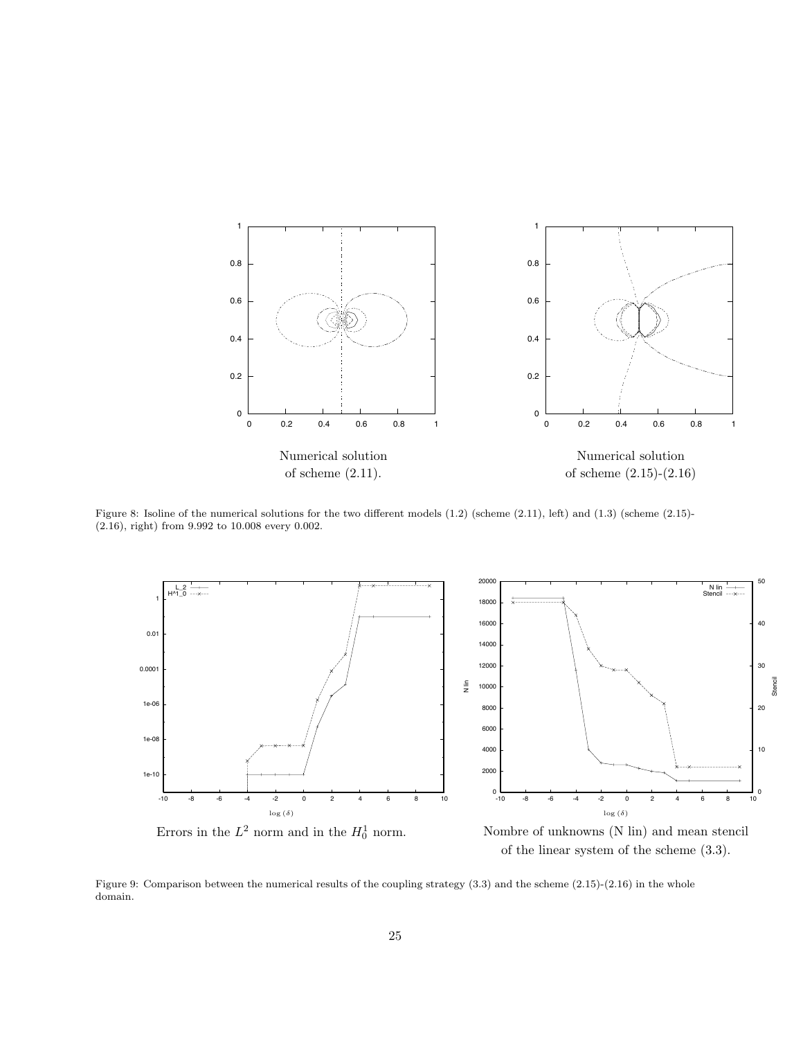

Figure 8: Isoline of the numerical solutions for the two different models (1.2) (scheme (2.11), left) and (1.3) (scheme (2.15)- (2.16), right) from 9.992 to 10.008 every 0.002.



Errors in the  $L^2$  norm and in the  $H_0^1$  norm.

of the linear system of the scheme (3.3).

Figure 9: Comparison between the numerical results of the coupling strategy (3.3) and the scheme (2.15)-(2.16) in the whole domain.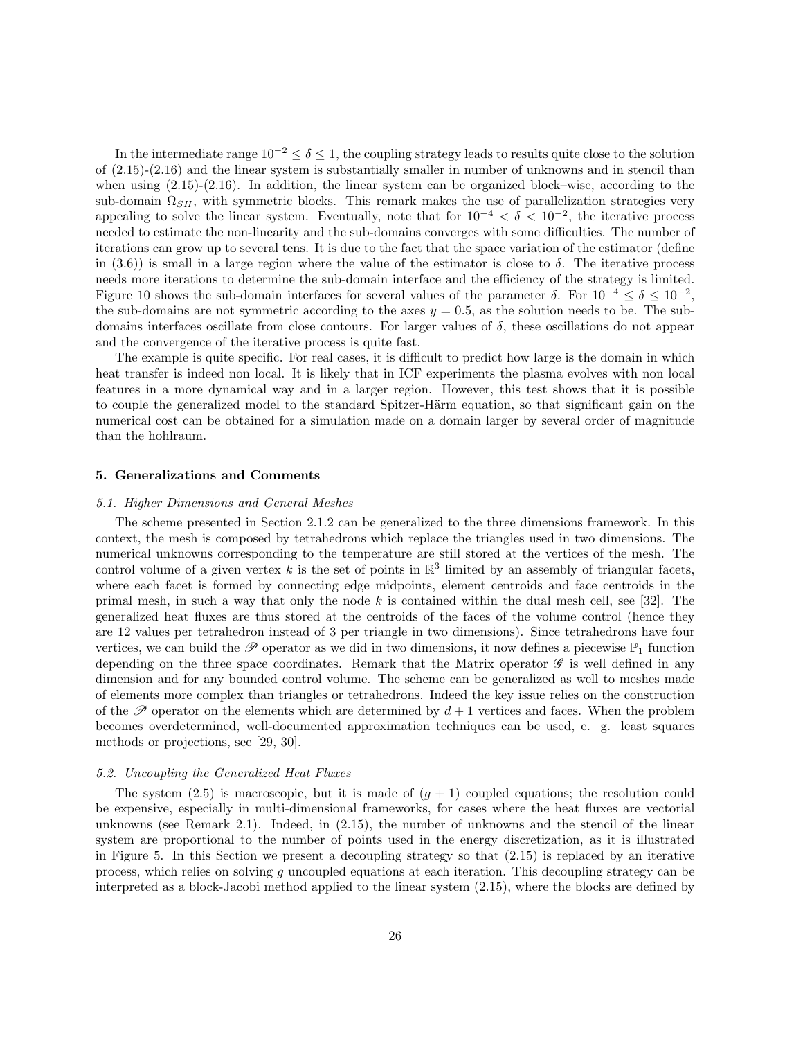In the intermediate range  $10^{-2} < \delta < 1$ , the coupling strategy leads to results quite close to the solution of (2.15)-(2.16) and the linear system is substantially smaller in number of unknowns and in stencil than when using (2.15)-(2.16). In addition, the linear system can be organized block–wise, according to the sub-domain  $\Omega_{SH}$ , with symmetric blocks. This remark makes the use of parallelization strategies very appealing to solve the linear system. Eventually, note that for  $10^{-4} < \delta < 10^{-2}$ , the iterative process needed to estimate the non-linearity and the sub-domains converges with some difficulties. The number of iterations can grow up to several tens. It is due to the fact that the space variation of the estimator (define in (3.6)) is small in a large region where the value of the estimator is close to  $\delta$ . The iterative process needs more iterations to determine the sub-domain interface and the efficiency of the strategy is limited. Figure 10 shows the sub-domain interfaces for several values of the parameter  $\delta$ . For  $10^{-4} \le \delta \le 10^{-2}$ , the sub-domains are not symmetric according to the axes  $y = 0.5$ , as the solution needs to be. The subdomains interfaces oscillate from close contours. For larger values of  $\delta$ , these oscillations do not appear and the convergence of the iterative process is quite fast.

The example is quite specific. For real cases, it is difficult to predict how large is the domain in which heat transfer is indeed non local. It is likely that in ICF experiments the plasma evolves with non local features in a more dynamical way and in a larger region. However, this test shows that it is possible to couple the generalized model to the standard Spitzer-Härm equation, so that significant gain on the numerical cost can be obtained for a simulation made on a domain larger by several order of magnitude than the hohlraum.

### 5. Generalizations and Comments

### 5.1. Higher Dimensions and General Meshes

The scheme presented in Section 2.1.2 can be generalized to the three dimensions framework. In this context, the mesh is composed by tetrahedrons which replace the triangles used in two dimensions. The numerical unknowns corresponding to the temperature are still stored at the vertices of the mesh. The control volume of a given vertex k is the set of points in  $\mathbb{R}^3$  limited by an assembly of triangular facets, where each facet is formed by connecting edge midpoints, element centroids and face centroids in the primal mesh, in such a way that only the node k is contained within the dual mesh cell, see [32]. The generalized heat fluxes are thus stored at the centroids of the faces of the volume control (hence they are 12 values per tetrahedron instead of 3 per triangle in two dimensions). Since tetrahedrons have four vertices, we can build the  $\mathscr P$  operator as we did in two dimensions, it now defines a piecewise  $\mathbb P_1$  function depending on the three space coordinates. Remark that the Matrix operator  $\mathscr G$  is well defined in any dimension and for any bounded control volume. The scheme can be generalized as well to meshes made of elements more complex than triangles or tetrahedrons. Indeed the key issue relies on the construction of the  $\mathscr P$  operator on the elements which are determined by  $d+1$  vertices and faces. When the problem becomes overdetermined, well-documented approximation techniques can be used, e. g. least squares methods or projections, see [29, 30].

### 5.2. Uncoupling the Generalized Heat Fluxes

The system (2.5) is macroscopic, but it is made of  $(g + 1)$  coupled equations; the resolution could be expensive, especially in multi-dimensional frameworks, for cases where the heat fluxes are vectorial unknowns (see Remark 2.1). Indeed, in (2.15), the number of unknowns and the stencil of the linear system are proportional to the number of points used in the energy discretization, as it is illustrated in Figure 5. In this Section we present a decoupling strategy so that (2.15) is replaced by an iterative process, which relies on solving g uncoupled equations at each iteration. This decoupling strategy can be interpreted as a block-Jacobi method applied to the linear system (2.15), where the blocks are defined by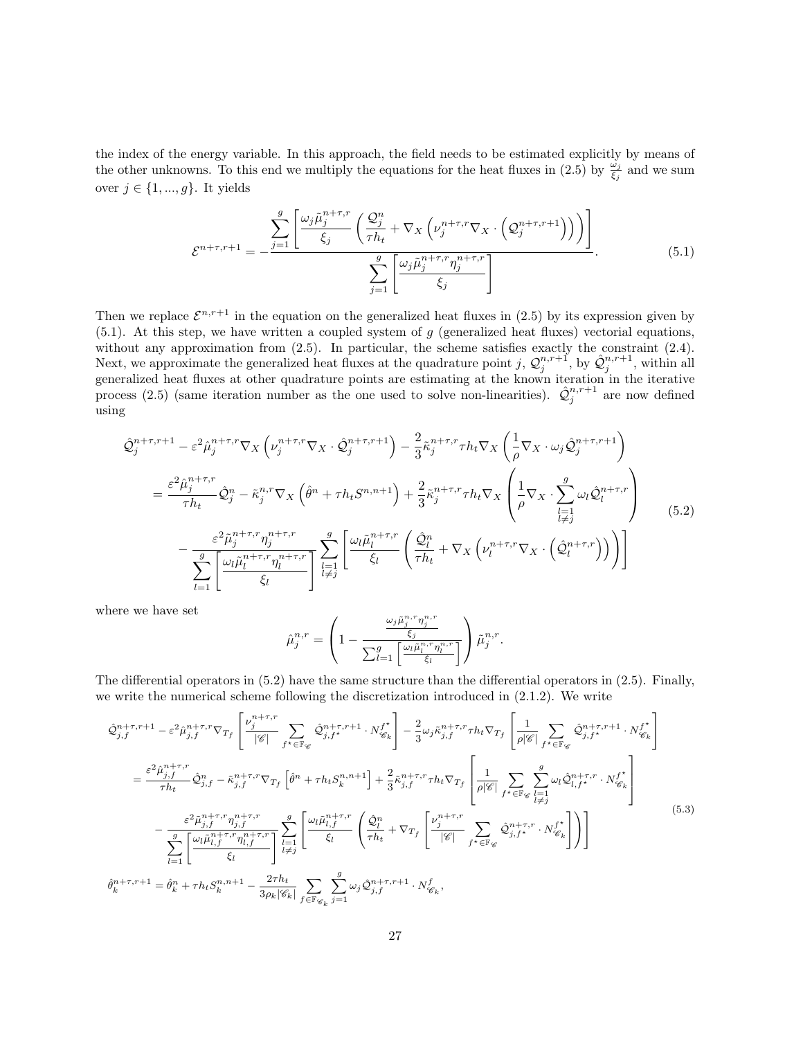the index of the energy variable. In this approach, the field needs to be estimated explicitly by means of the other unknowns. To this end we multiply the equations for the heat fluxes in  $(2.5)$  by  $\frac{\omega_j}{\xi_j}$  and we sum over  $j \in \{1,...,g\}.$  It yields

$$
\mathcal{E}^{n+\tau,r+1} = -\frac{\sum_{j=1}^{g} \left[ \frac{\omega_j \tilde{\mu}_j^{n+\tau,r}}{\xi_j} \left( \frac{\mathcal{Q}_j^n}{\tau h_t} + \nabla_X \left( \nu_j^{n+\tau,r} \nabla_X \cdot \left( \mathcal{Q}_j^{n+\tau,r+1} \right) \right) \right) \right]}{\sum_{j=1}^{g} \left[ \frac{\omega_j \tilde{\mu}_j^{n+\tau,r} \eta_j^{n+\tau,r}}{\xi_j} \right]}.
$$
(5.1)

Then we replace  $\mathcal{E}^{n,r+1}$  in the equation on the generalized heat fluxes in (2.5) by its expression given by  $(5.1)$ . At this step, we have written a coupled system of g (generalized heat fluxes) vectorial equations, without any approximation from (2.5). In particular, the scheme satisfies exactly the constraint (2.4). Next, we approximate the generalized heat fluxes at the quadrature point j,  $\mathcal{Q}_j^{n,r+1}$ , by  $\hat{\mathcal{Q}}_j^{n,r+1}$ , within all generalized heat fluxes at other quadrature points are estimating at the known iteration in the iterative process (2.5) (same iteration number as the one used to solve non-linearities).  $\hat{Q}_j^{n,r+1}$  are now defined using

$$
\hat{\mathcal{Q}}_{j}^{n+\tau,r+1} - \varepsilon^{2} \hat{\mu}_{j}^{n+\tau,r} \nabla_{X} \left( \nu_{j}^{n+\tau,r} \nabla_{X} \cdot \hat{\mathcal{Q}}_{j}^{n+\tau,r+1} \right) - \frac{2}{3} \tilde{\kappa}_{j}^{n+\tau,r} \tau h_{t} \nabla_{X} \left( \frac{1}{\rho} \nabla_{X} \cdot \omega_{j} \hat{\mathcal{Q}}_{j}^{n+\tau,r+1} \right) \n= \frac{\varepsilon^{2} \hat{\mu}_{j}^{n+\tau,r}}{\tau h_{t}} \hat{\mathcal{Q}}_{j}^{n} - \tilde{\kappa}_{j}^{n,r} \nabla_{X} \left( \hat{\theta}^{n} + \tau h_{t} S^{n,n+1} \right) + \frac{2}{3} \tilde{\kappa}_{j}^{n+\tau,r} \tau h_{t} \nabla_{X} \left( \frac{1}{\rho} \nabla_{X} \cdot \sum_{\substack{l=1 \ l \neq j}}^{g} \omega_{l} \hat{\mathcal{Q}}_{l}^{n+\tau,r} \right) \n- \frac{\varepsilon^{2} \tilde{\mu}_{j}^{n+\tau,r} \eta_{j}^{n+\tau,r}}{\sum_{l=1}^{g} \left[ \frac{\omega_{l} \tilde{\mu}_{l}^{n+\tau,r}}{\xi_{l}} \left( \frac{\tilde{\mathcal{Q}}_{l}^{n}}{\xi_{l}} + \nabla_{X} \left( \nu_{l}^{n+\tau,r} \nabla_{X} \cdot \left( \hat{\mathcal{Q}}_{l}^{n+\tau,r} \right) \right) \right) \right] \tag{5.2}
$$

where we have set

$$
\hat{\mu}^{n,r}_j = \left(1 - \frac{\frac{\omega_j \tilde{\mu}^{n,r}_j \eta^{n,r}_j}{\xi_j}}{\sum_{l=1}^g \left[\frac{\omega_l \tilde{\mu}^{n,r}_l \eta^{n,r}_l}{\xi_l}\right]}\right) \tilde{\mu}^{n,r}_j.
$$

The differential operators in (5.2) have the same structure than the differential operators in (2.5). Finally, we write the numerical scheme following the discretization introduced in (2.1.2). We write

$$
\hat{\mathcal{Q}}_{j,f}^{n+\tau,r+1} - \varepsilon^2 \hat{\mu}_{j,f}^{n+\tau,r} \nabla_{T_f} \left[ \frac{\nu_j^{n+\tau,r}}{|\mathcal{C}|} \sum_{f^* \in \mathbb{F}_{\mathcal{C}}} \hat{\mathcal{Q}}_{j,f^*}^{n+\tau,r+1} \cdot N_{\mathcal{C}_k}^{f^*} \right] - \frac{2}{3} \omega_j \tilde{\kappa}_{j,f}^{n+\tau,r} \tau h_t \nabla_{T_f} \left[ \frac{1}{\rho |\mathcal{C}|} \sum_{f^* \in \mathbb{F}_{\mathcal{C}}} \hat{\mathcal{Q}}_{j,f^*}^{n+\tau,r+1} \cdot N_{\mathcal{C}_k}^{f^*} \right]
$$
\n
$$
= \frac{\varepsilon^2 \hat{\mu}_{j,f}^{n+\tau,r}}{\tau h_t} \hat{\mathcal{Q}}_{j,f}^{n} - \tilde{\kappa}_{j,f}^{n+\tau,r} \nabla_{T_f} \left[ \hat{\theta}^n + \tau h_t S_k^{n,n+1} \right] + \frac{2}{3} \tilde{\kappa}_{j,f}^{n+\tau,r} \tau h_t \nabla_{T_f} \left[ \frac{1}{\rho |\mathcal{C}|} \sum_{f^* \in \mathbb{F}_{\mathcal{C}}} \sum_{l=1}^g \omega_l \hat{\mathcal{Q}}_{l,f^*}^{n+\tau,r} \cdot N_{\mathcal{C}_k}^{f^*} \right]
$$
\n
$$
- \frac{\varepsilon^2 \tilde{\mu}_{j,f}^{n+\tau,r} \eta_{j,f}^{n+\tau,r}}{\sum_{l=1}^g \left[ \frac{\omega_l \tilde{\mu}_{l,f}^{n+\tau,r}}{\xi_l} \right]} \sum_{l=1}^g \left[ \frac{\omega_l \tilde{\mu}_{l,f}^{n+\tau,r}}{\xi_l} \left( \frac{\hat{\mathcal{Q}}_l^n}{\tau h_t} + \nabla_{T_f} \left[ \frac{\nu_j^{n+\tau,r}}{|\mathcal{C}|} \sum_{f^* \in \mathbb{F}_{\mathcal{C}}} \hat{\mathcal{Q}}_{j,f^*}^{n+\tau,r} \cdot N_{\mathcal{C}_k}^{f^*} \right] \right) \right]
$$
\n
$$
\hat{\theta}_k^{n+\tau,r+1} = \hat{\theta}_k^n + \tau h_t S_k^{n,n+1
$$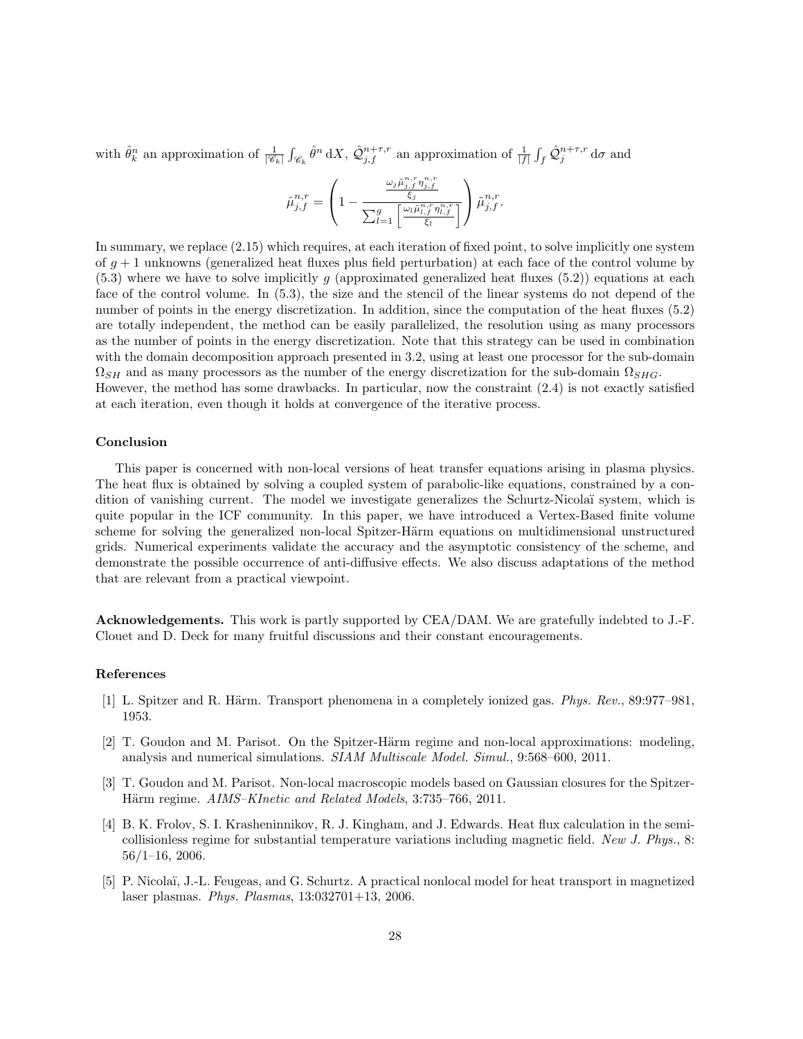with  $\hat{\theta}_k^n$  an approximation of  $\frac{1}{|\mathscr{C}_k|} \int_{\mathscr{C}_k} \hat{\theta}^n dX$ ,  $\hat{\mathcal{Q}}_{j,f}^{n+\tau,r}$  an approximation of  $\frac{1}{|f|} \int_f \hat{\mathcal{Q}}_j^{n+\tau,r} d\sigma$  and

$$
\hat{\mu}^{n,r}_{j,f} = \left(1 - \frac{\frac{\omega_j \tilde{\mu}^{n,r}_{j,f} \eta^{n,r}_{j,f}}{\xi_j}}{\sum_{l=1}^g \left[\frac{\omega_l \tilde{\mu}^{n,r}_{l,f} \eta^{n,r}_{l,f}}{\xi_l}\right]}\right) \tilde{\mu}^{n,r}_{j,f}.
$$

In summary, we replace (2.15) which requires, at each iteration of fixed point, to solve implicitly one system of  $q + 1$  unknowns (generalized heat fluxes plus field perturbation) at each face of the control volume by  $(5.3)$  where we have to solve implicitly g (approximated generalized heat fluxes  $(5.2)$ ) equations at each face of the control volume. In (5.3), the size and the stencil of the linear systems do not depend of the number of points in the energy discretization. In addition, since the computation of the heat fluxes (5.2) are totally independent, the method can be easily parallelized, the resolution using as many processors as the number of points in the energy discretization. Note that this strategy can be used in combination with the domain decomposition approach presented in 3.2, using at least one processor for the sub-domain  $\Omega_{SH}$  and as many processors as the number of the energy discretization for the sub-domain  $\Omega_{SHG}$ . However, the method has some drawbacks. In particular, now the constraint (2.4) is not exactly satisfied at each iteration, even though it holds at convergence of the iterative process.

#### Conclusion

This paper is concerned with non-local versions of heat transfer equations arising in plasma physics. The heat flux is obtained by solving a coupled system of parabolic-like equations, constrained by a condition of vanishing current. The model we investigate generalizes the Schurtz-Nicola¨ı system, which is quite popular in the ICF community. In this paper, we have introduced a Vertex-Based finite volume scheme for solving the generalized non-local Spitzer-Härm equations on multidimensional unstructured grids. Numerical experiments validate the accuracy and the asymptotic consistency of the scheme, and demonstrate the possible occurrence of anti-diffusive effects. We also discuss adaptations of the method that are relevant from a practical viewpoint.

Acknowledgements. This work is partly supported by CEA/DAM. We are gratefully indebted to J.-F. Clouet and D. Deck for many fruitful discussions and their constant encouragements.

#### References

- [1] L. Spitzer and R. Härm. Transport phenomena in a completely ionized gas. Phys. Rev., 89:977–981, 1953.
- [2] T. Goudon and M. Parisot. On the Spitzer-Härm regime and non-local approximations: modeling, analysis and numerical simulations. SIAM Multiscale Model. Simul., 9:568–600, 2011.
- [3] T. Goudon and M. Parisot. Non-local macroscopic models based on Gaussian closures for the Spitzer-Härm regime. AIMS–KInetic and Related Models, 3:735–766, 2011.
- [4] B. K. Frolov, S. I. Krasheninnikov, R. J. Kingham, and J. Edwards. Heat flux calculation in the semicollisionless regime for substantial temperature variations including magnetic field. New J. Phys., 8: 56/1–16, 2006.
- [5] P. Nicolaï, J.-L. Feugeas, and G. Schurtz. A practical nonlocal model for heat transport in magnetized laser plasmas. Phys. Plasmas, 13:032701+13, 2006.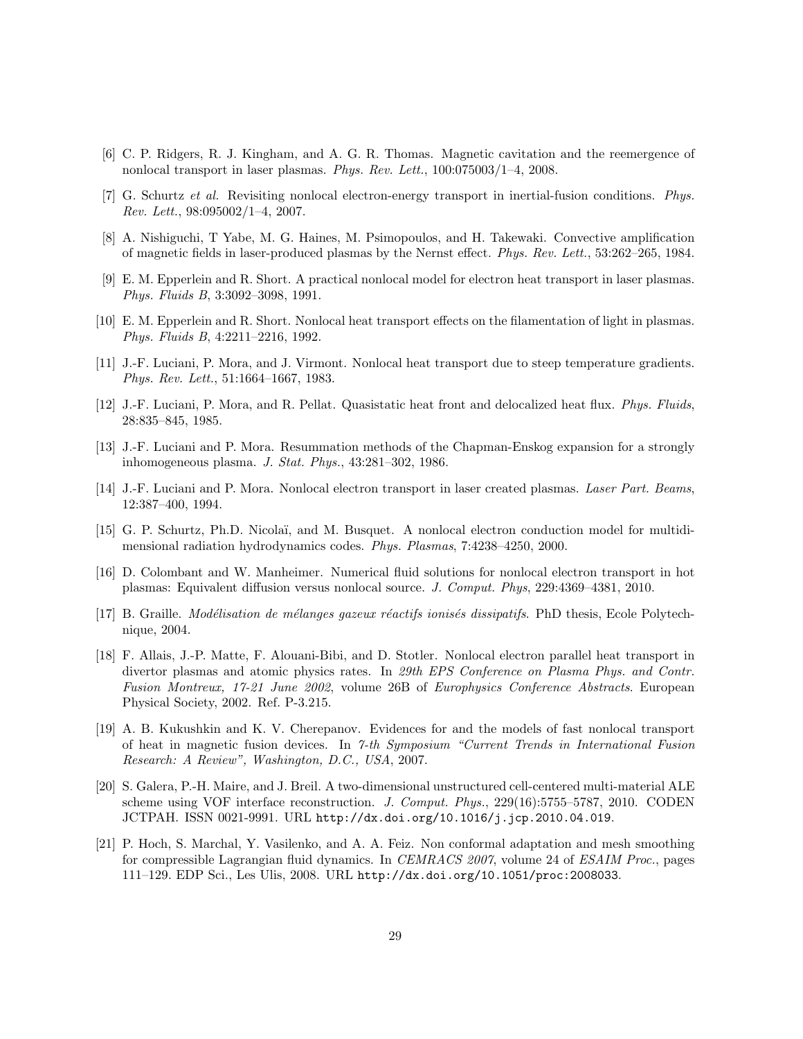- [6] C. P. Ridgers, R. J. Kingham, and A. G. R. Thomas. Magnetic cavitation and the reemergence of nonlocal transport in laser plasmas. Phys. Rev. Lett., 100:075003/1–4, 2008.
- [7] G. Schurtz et al. Revisiting nonlocal electron-energy transport in inertial-fusion conditions. Phys. Rev. Lett., 98:095002/1–4, 2007.
- [8] A. Nishiguchi, T Yabe, M. G. Haines, M. Psimopoulos, and H. Takewaki. Convective amplification of magnetic fields in laser-produced plasmas by the Nernst effect. Phys. Rev. Lett., 53:262–265, 1984.
- [9] E. M. Epperlein and R. Short. A practical nonlocal model for electron heat transport in laser plasmas. Phys. Fluids B, 3:3092–3098, 1991.
- [10] E. M. Epperlein and R. Short. Nonlocal heat transport effects on the filamentation of light in plasmas. Phys. Fluids B, 4:2211–2216, 1992.
- [11] J.-F. Luciani, P. Mora, and J. Virmont. Nonlocal heat transport due to steep temperature gradients. Phys. Rev. Lett., 51:1664–1667, 1983.
- [12] J.-F. Luciani, P. Mora, and R. Pellat. Quasistatic heat front and delocalized heat flux. Phys. Fluids, 28:835–845, 1985.
- [13] J.-F. Luciani and P. Mora. Resummation methods of the Chapman-Enskog expansion for a strongly inhomogeneous plasma. J. Stat. Phys., 43:281–302, 1986.
- [14] J.-F. Luciani and P. Mora. Nonlocal electron transport in laser created plasmas. Laser Part. Beams, 12:387–400, 1994.
- [15] G. P. Schurtz, Ph.D. Nicola¨ı, and M. Busquet. A nonlocal electron conduction model for multidimensional radiation hydrodynamics codes. Phys. Plasmas, 7:4238–4250, 2000.
- [16] D. Colombant and W. Manheimer. Numerical fluid solutions for nonlocal electron transport in hot plasmas: Equivalent diffusion versus nonlocal source. J. Comput. Phys, 229:4369–4381, 2010.
- [17] B. Graille. *Modélisation de mélanges gazeux réactifs ionisés dissipatifs*. PhD thesis, Ecole Polytechnique, 2004.
- [18] F. Allais, J.-P. Matte, F. Alouani-Bibi, and D. Stotler. Nonlocal electron parallel heat transport in divertor plasmas and atomic physics rates. In 29th EPS Conference on Plasma Phys. and Contr. Fusion Montreux, 17-21 June 2002, volume 26B of Europhysics Conference Abstracts. European Physical Society, 2002. Ref. P-3.215.
- [19] A. B. Kukushkin and K. V. Cherepanov. Evidences for and the models of fast nonlocal transport of heat in magnetic fusion devices. In 7-th Symposium "Current Trends in International Fusion Research: A Review", Washington, D.C., USA, 2007.
- [20] S. Galera, P.-H. Maire, and J. Breil. A two-dimensional unstructured cell-centered multi-material ALE scheme using VOF interface reconstruction. J. Comput. Phys., 229(16):5755–5787, 2010. CODEN JCTPAH. ISSN 0021-9991. URL http://dx.doi.org/10.1016/j.jcp.2010.04.019.
- [21] P. Hoch, S. Marchal, Y. Vasilenko, and A. A. Feiz. Non conformal adaptation and mesh smoothing for compressible Lagrangian fluid dynamics. In CEMRACS 2007, volume 24 of ESAIM Proc., pages 111–129. EDP Sci., Les Ulis, 2008. URL http://dx.doi.org/10.1051/proc:2008033.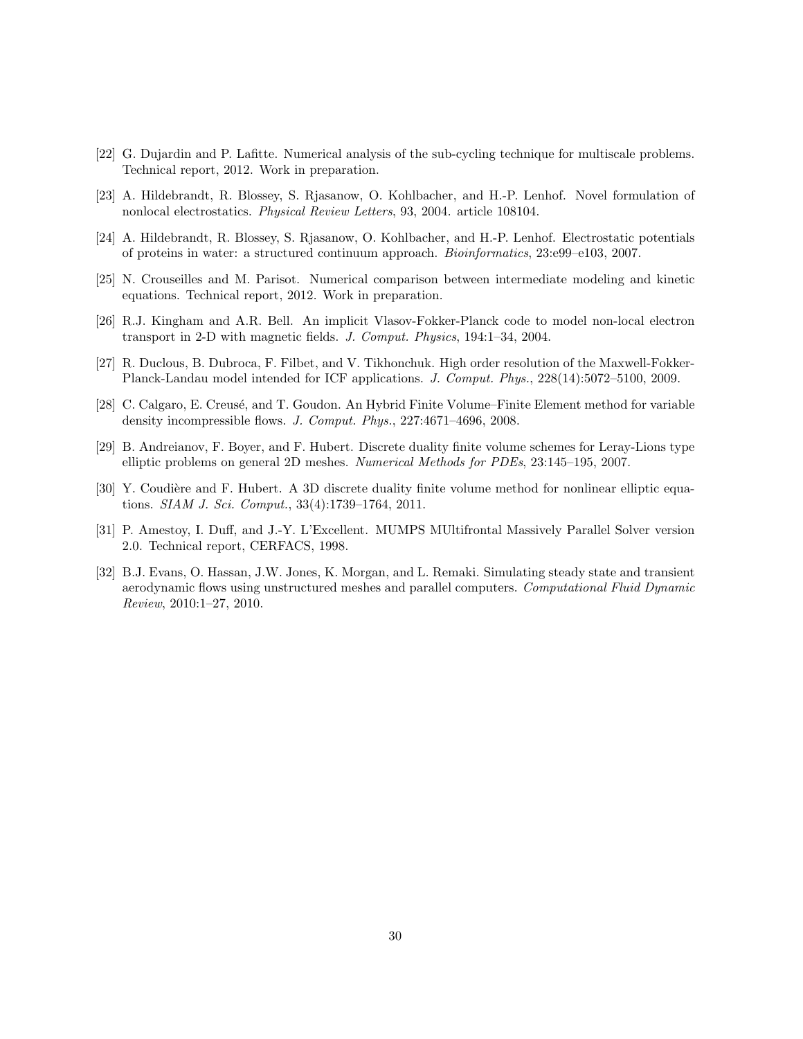- [22] G. Dujardin and P. Lafitte. Numerical analysis of the sub-cycling technique for multiscale problems. Technical report, 2012. Work in preparation.
- [23] A. Hildebrandt, R. Blossey, S. Rjasanow, O. Kohlbacher, and H.-P. Lenhof. Novel formulation of nonlocal electrostatics. Physical Review Letters, 93, 2004. article 108104.
- [24] A. Hildebrandt, R. Blossey, S. Rjasanow, O. Kohlbacher, and H.-P. Lenhof. Electrostatic potentials of proteins in water: a structured continuum approach. Bioinformatics, 23:e99–e103, 2007.
- [25] N. Crouseilles and M. Parisot. Numerical comparison between intermediate modeling and kinetic equations. Technical report, 2012. Work in preparation.
- [26] R.J. Kingham and A.R. Bell. An implicit Vlasov-Fokker-Planck code to model non-local electron transport in 2-D with magnetic fields. J. Comput. Physics, 194:1–34, 2004.
- [27] R. Duclous, B. Dubroca, F. Filbet, and V. Tikhonchuk. High order resolution of the Maxwell-Fokker-Planck-Landau model intended for ICF applications. J. Comput. Phys., 228(14):5072–5100, 2009.
- [28] C. Calgaro, E. Creusé, and T. Goudon. An Hybrid Finite Volume–Finite Element method for variable density incompressible flows. J. Comput. Phys., 227:4671–4696, 2008.
- [29] B. Andreianov, F. Boyer, and F. Hubert. Discrete duality finite volume schemes for Leray-Lions type elliptic problems on general 2D meshes. Numerical Methods for PDEs, 23:145–195, 2007.
- [30] Y. Coudière and F. Hubert. A 3D discrete duality finite volume method for nonlinear elliptic equations. SIAM J. Sci. Comput., 33(4):1739–1764, 2011.
- [31] P. Amestoy, I. Duff, and J.-Y. L'Excellent. MUMPS MUltifrontal Massively Parallel Solver version 2.0. Technical report, CERFACS, 1998.
- [32] B.J. Evans, O. Hassan, J.W. Jones, K. Morgan, and L. Remaki. Simulating steady state and transient aerodynamic flows using unstructured meshes and parallel computers. Computational Fluid Dynamic Review, 2010:1–27, 2010.